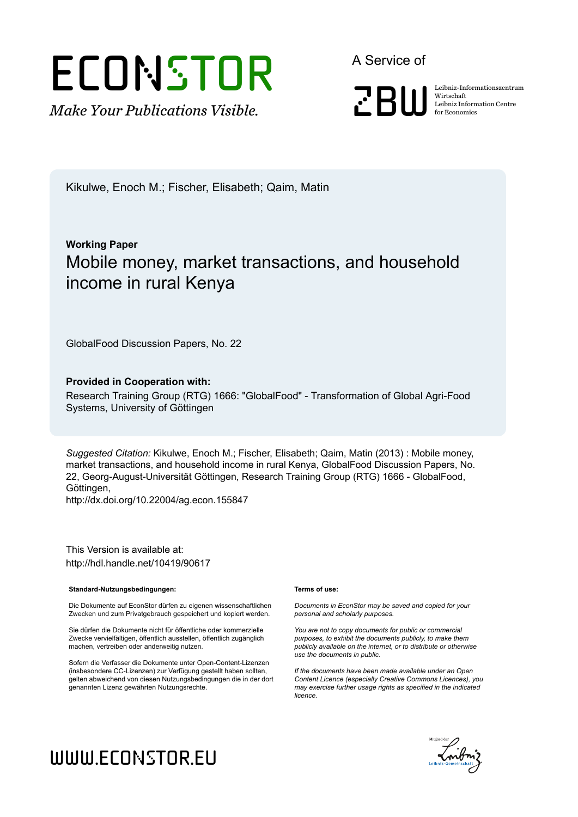# ECONSTOR

*Make Your Publications Visible.*

A Service of



Wirtschaft Leibniz Information Centre for Economics

Kikulwe, Enoch M.; Fischer, Elisabeth; Qaim, Matin

### **Working Paper** Mobile money, market transactions, and household income in rural Kenya

GlobalFood Discussion Papers, No. 22

#### **Provided in Cooperation with:**

Research Training Group (RTG) 1666: "GlobalFood" - Transformation of Global Agri-Food Systems, University of Göttingen

*Suggested Citation:* Kikulwe, Enoch M.; Fischer, Elisabeth; Qaim, Matin (2013) : Mobile money, market transactions, and household income in rural Kenya, GlobalFood Discussion Papers, No. 22, Georg-August-Universität Göttingen, Research Training Group (RTG) 1666 - GlobalFood, Göttingen,

http://dx.doi.org/10.22004/ag.econ.155847

This Version is available at: http://hdl.handle.net/10419/90617

#### **Standard-Nutzungsbedingungen:**

Die Dokumente auf EconStor dürfen zu eigenen wissenschaftlichen Zwecken und zum Privatgebrauch gespeichert und kopiert werden.

Sie dürfen die Dokumente nicht für öffentliche oder kommerzielle Zwecke vervielfältigen, öffentlich ausstellen, öffentlich zugänglich machen, vertreiben oder anderweitig nutzen.

Sofern die Verfasser die Dokumente unter Open-Content-Lizenzen (insbesondere CC-Lizenzen) zur Verfügung gestellt haben sollten, gelten abweichend von diesen Nutzungsbedingungen die in der dort genannten Lizenz gewährten Nutzungsrechte.

#### **Terms of use:**

*Documents in EconStor may be saved and copied for your personal and scholarly purposes.*

*You are not to copy documents for public or commercial purposes, to exhibit the documents publicly, to make them publicly available on the internet, or to distribute or otherwise use the documents in public.*

*If the documents have been made available under an Open Content Licence (especially Creative Commons Licences), you may exercise further usage rights as specified in the indicated licence.*

## Enibrir e

## www.econstor.eu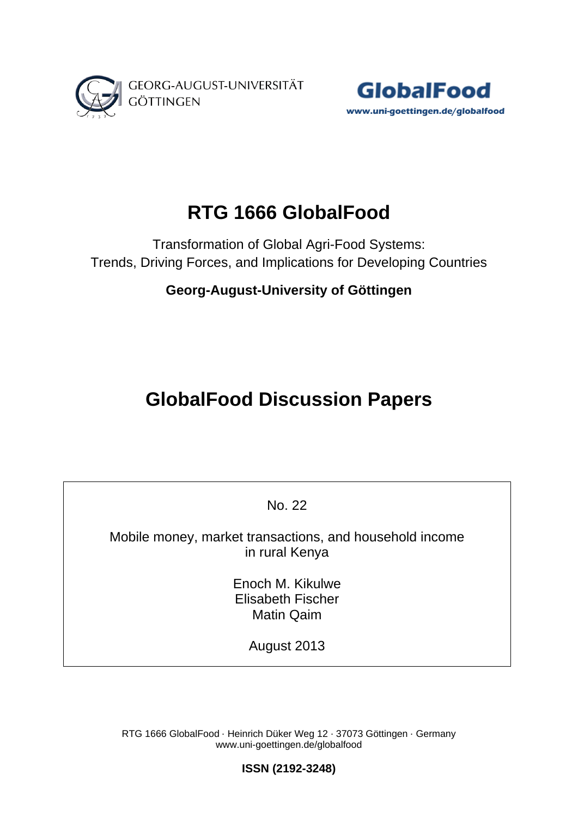



## **RTG 1666 GlobalFood**

Transformation of Global Agri-Food Systems: Trends, Driving Forces, and Implications for Developing Countries

**Georg-August-University of Göttingen**

## **GlobalFood Discussion Papers**

No. 22

Mobile money, market transactions, and household income in rural Kenya

> Enoch M. Kikulwe Elisabeth Fischer Matin Qaim

> > August 2013

RTG 1666 GlobalFood ⋅ Heinrich Düker Weg 12 ⋅ 37073 Göttingen ⋅ Germany www.uni-goettingen.de/globalfood

**ISSN (2192-3248)**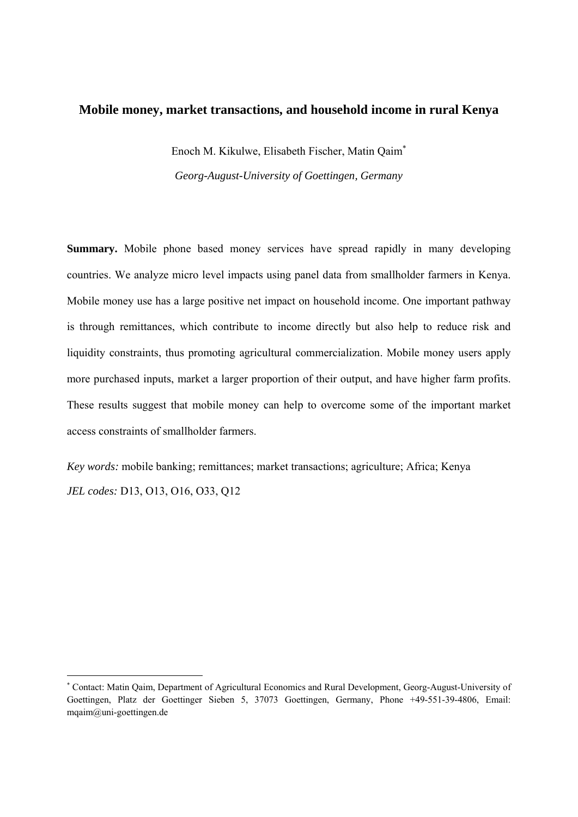#### **Mobile money, market transactions, and household income in rural Kenya**

Enoch M. Kikulwe, Elisabeth Fischer, Matin Qaim *Georg-August-University of Goettingen, Germany* 

**Summary.** Mobile phone based money services have spread rapidly in many developing countries. We analyze micro level impacts using panel data from smallholder farmers in Kenya. Mobile money use has a large positive net impact on household income. One important pathway is through remittances, which contribute to income directly but also help to reduce risk and liquidity constraints, thus promoting agricultural commercialization. Mobile money users apply more purchased inputs, market a larger proportion of their output, and have higher farm profits. These results suggest that mobile money can help to overcome some of the important market access constraints of smallholder farmers.

*Key words:* mobile banking; remittances; market transactions; agriculture; Africa; Kenya *JEL codes:* D13, O13, O16, O33, Q12

<sup>\*</sup>  Contact: Matin Qaim, Department of Agricultural Economics and Rural Development, Georg-August-University of Goettingen, Platz der Goettinger Sieben 5, 37073 Goettingen, Germany, Phone +49-551-39-4806, Email: mqaim@uni-goettingen.de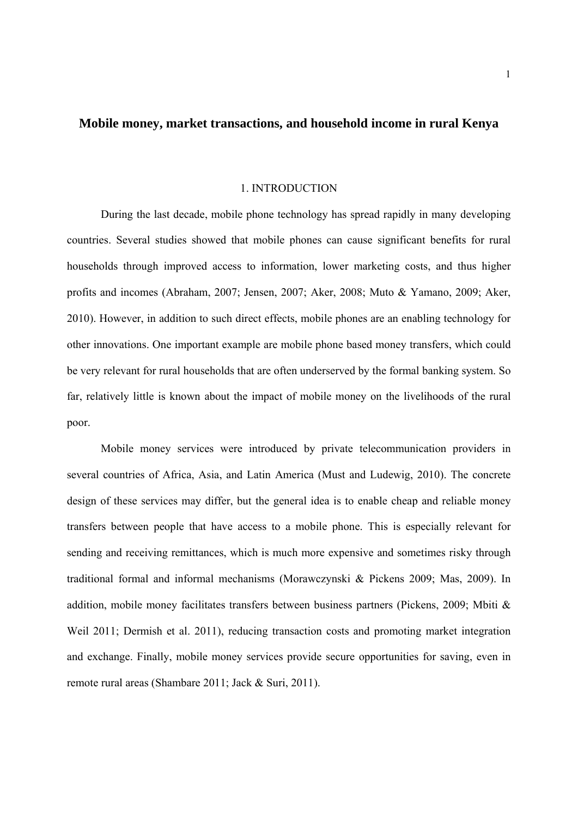#### **Mobile money, market transactions, and household income in rural Kenya**

#### 1. INTRODUCTION

During the last decade, mobile phone technology has spread rapidly in many developing countries. Several studies showed that mobile phones can cause significant benefits for rural households through improved access to information, lower marketing costs, and thus higher profits and incomes (Abraham, 2007; Jensen, 2007; Aker, 2008; Muto & Yamano, 2009; Aker, 2010). However, in addition to such direct effects, mobile phones are an enabling technology for other innovations. One important example are mobile phone based money transfers, which could be very relevant for rural households that are often underserved by the formal banking system. So far, relatively little is known about the impact of mobile money on the livelihoods of the rural poor.

Mobile money services were introduced by private telecommunication providers in several countries of Africa, Asia, and Latin America (Must and Ludewig, 2010). The concrete design of these services may differ, but the general idea is to enable cheap and reliable money transfers between people that have access to a mobile phone. This is especially relevant for sending and receiving remittances, which is much more expensive and sometimes risky through traditional formal and informal mechanisms (Morawczynski & Pickens 2009; Mas, 2009). In addition, mobile money facilitates transfers between business partners (Pickens, 2009; Mbiti & Weil 2011; Dermish et al. 2011), reducing transaction costs and promoting market integration and exchange. Finally, mobile money services provide secure opportunities for saving, even in remote rural areas (Shambare 2011; Jack & Suri, 2011).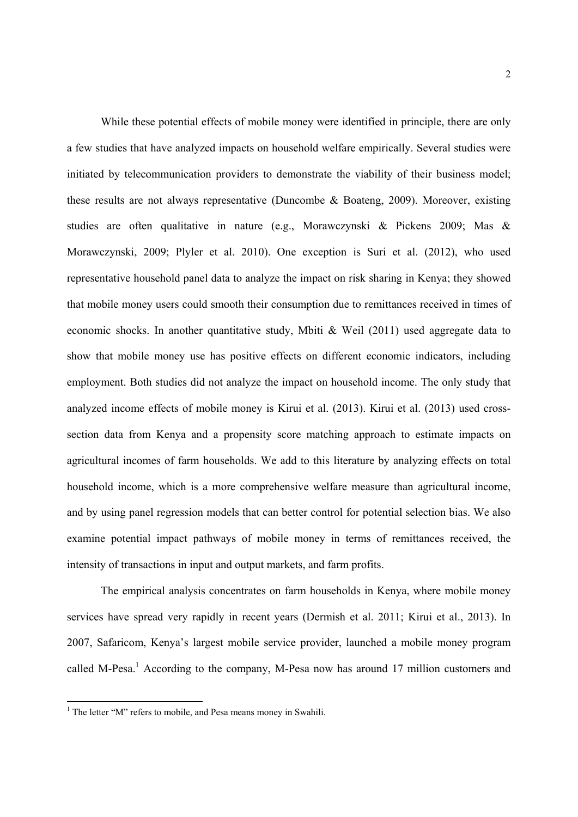While these potential effects of mobile money were identified in principle, there are only a few studies that have analyzed impacts on household welfare empirically. Several studies were initiated by telecommunication providers to demonstrate the viability of their business model; these results are not always representative (Duncombe & Boateng, 2009). Moreover, existing studies are often qualitative in nature (e.g., Morawczynski & Pickens 2009; Mas & Morawczynski, 2009; Plyler et al. 2010). One exception is Suri et al. (2012), who used representative household panel data to analyze the impact on risk sharing in Kenya; they showed that mobile money users could smooth their consumption due to remittances received in times of economic shocks. In another quantitative study, Mbiti & Weil (2011) used aggregate data to show that mobile money use has positive effects on different economic indicators, including employment. Both studies did not analyze the impact on household income. The only study that analyzed income effects of mobile money is Kirui et al. (2013). Kirui et al. (2013) used crosssection data from Kenya and a propensity score matching approach to estimate impacts on agricultural incomes of farm households. We add to this literature by analyzing effects on total household income, which is a more comprehensive welfare measure than agricultural income, and by using panel regression models that can better control for potential selection bias. We also examine potential impact pathways of mobile money in terms of remittances received, the intensity of transactions in input and output markets, and farm profits.

The empirical analysis concentrates on farm households in Kenya, where mobile money services have spread very rapidly in recent years (Dermish et al. 2011; Kirui et al., 2013). In 2007, Safaricom, Kenya's largest mobile service provider, launched a mobile money program called M-Pesa.<sup>1</sup> According to the company, M-Pesa now has around 17 million customers and

 1 The letter "M" refers to mobile, and Pesa means money in Swahili.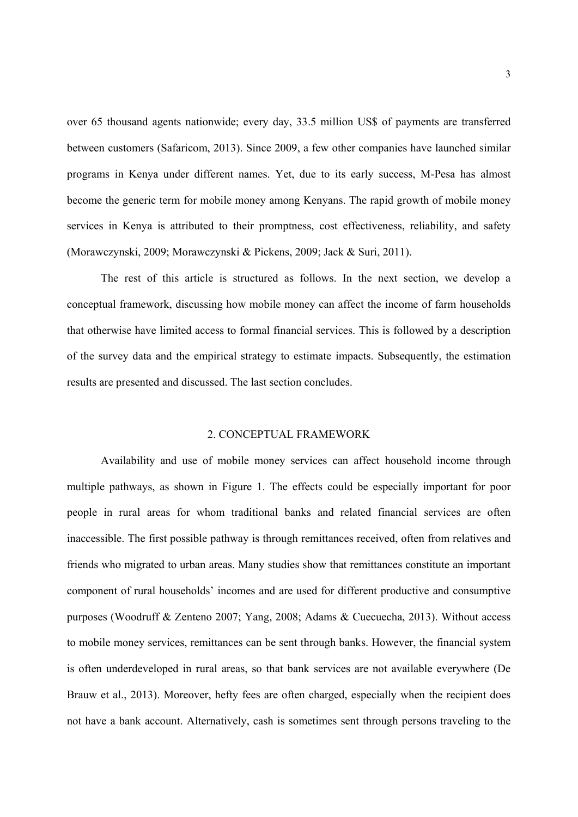over 65 thousand agents nationwide; every day, 33.5 million US\$ of payments are transferred between customers (Safaricom, 2013). Since 2009, a few other companies have launched similar programs in Kenya under different names. Yet, due to its early success, M-Pesa has almost become the generic term for mobile money among Kenyans. The rapid growth of mobile money services in Kenya is attributed to their promptness, cost effectiveness, reliability, and safety (Morawczynski, 2009; Morawczynski & Pickens, 2009; Jack & Suri, 2011).

The rest of this article is structured as follows. In the next section, we develop a conceptual framework, discussing how mobile money can affect the income of farm households that otherwise have limited access to formal financial services. This is followed by a description of the survey data and the empirical strategy to estimate impacts. Subsequently, the estimation results are presented and discussed. The last section concludes.

#### 2. CONCEPTUAL FRAMEWORK

Availability and use of mobile money services can affect household income through multiple pathways, as shown in Figure 1. The effects could be especially important for poor people in rural areas for whom traditional banks and related financial services are often inaccessible. The first possible pathway is through remittances received, often from relatives and friends who migrated to urban areas. Many studies show that remittances constitute an important component of rural households' incomes and are used for different productive and consumptive purposes (Woodruff & Zenteno 2007; Yang, 2008; Adams & Cuecuecha, 2013). Without access to mobile money services, remittances can be sent through banks. However, the financial system is often underdeveloped in rural areas, so that bank services are not available everywhere (De Brauw et al., 2013). Moreover, hefty fees are often charged, especially when the recipient does not have a bank account. Alternatively, cash is sometimes sent through persons traveling to the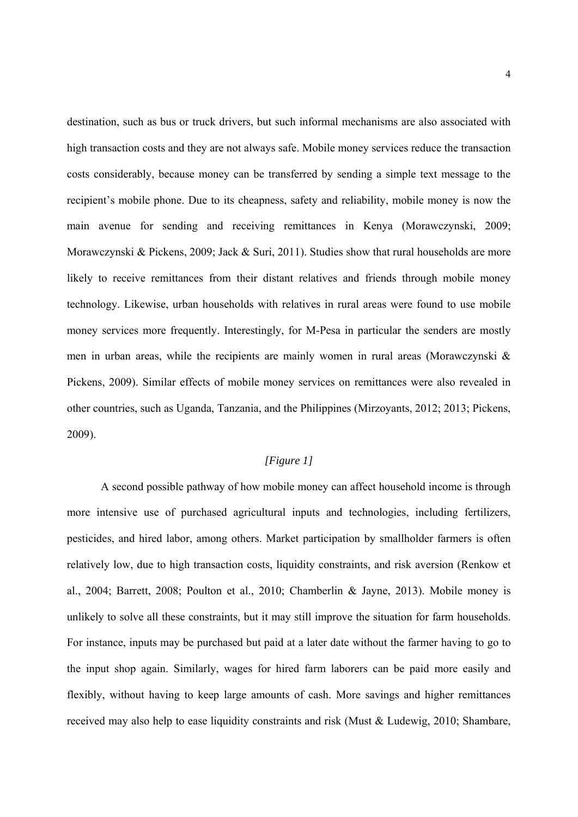destination, such as bus or truck drivers, but such informal mechanisms are also associated with high transaction costs and they are not always safe. Mobile money services reduce the transaction costs considerably, because money can be transferred by sending a simple text message to the recipient's mobile phone. Due to its cheapness, safety and reliability, mobile money is now the main avenue for sending and receiving remittances in Kenya (Morawczynski, 2009; Morawczynski & Pickens, 2009; Jack & Suri, 2011). Studies show that rural households are more likely to receive remittances from their distant relatives and friends through mobile money technology. Likewise, urban households with relatives in rural areas were found to use mobile money services more frequently. Interestingly, for M-Pesa in particular the senders are mostly men in urban areas, while the recipients are mainly women in rural areas (Morawczynski & Pickens, 2009). Similar effects of mobile money services on remittances were also revealed in other countries, such as Uganda, Tanzania, and the Philippines (Mirzoyants, 2012; 2013; Pickens, 2009).

#### *[Figure 1]*

A second possible pathway of how mobile money can affect household income is through more intensive use of purchased agricultural inputs and technologies, including fertilizers, pesticides, and hired labor, among others. Market participation by smallholder farmers is often relatively low, due to high transaction costs, liquidity constraints, and risk aversion (Renkow et al., 2004; Barrett, 2008; Poulton et al., 2010; Chamberlin & Jayne, 2013). Mobile money is unlikely to solve all these constraints, but it may still improve the situation for farm households. For instance, inputs may be purchased but paid at a later date without the farmer having to go to the input shop again. Similarly, wages for hired farm laborers can be paid more easily and flexibly, without having to keep large amounts of cash. More savings and higher remittances received may also help to ease liquidity constraints and risk (Must & Ludewig, 2010; Shambare,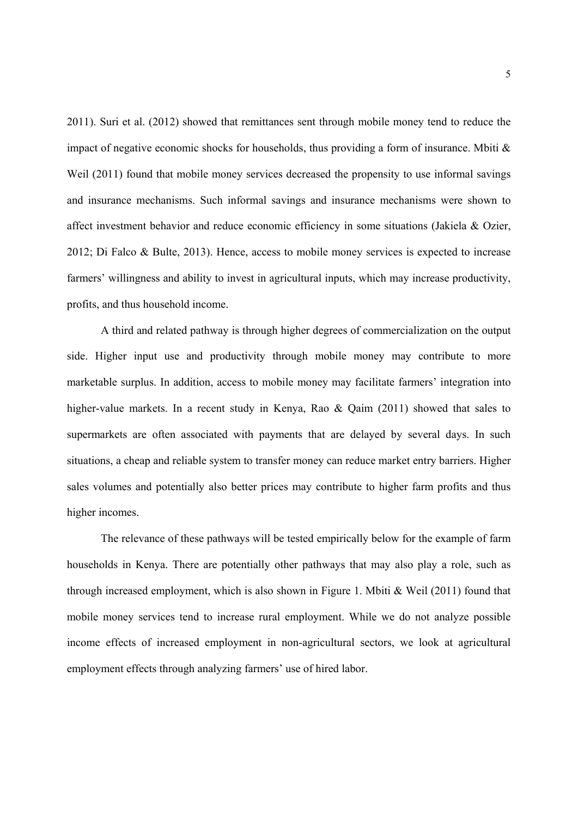2011). Suri et al. (2012) showed that remittances sent through mobile money tend to reduce the impact of negative economic shocks for households, thus providing a form of insurance. Mbiti  $\&$ Weil (2011) found that mobile money services decreased the propensity to use informal savings and insurance mechanisms. Such informal savings and insurance mechanisms were shown to affect investment behavior and reduce economic efficiency in some situations (Jakiela & Ozier, 2012; Di Falco & Bulte, 2013). Hence, access to mobile money services is expected to increase farmers' willingness and ability to invest in agricultural inputs, which may increase productivity, profits, and thus household income.

A third and related pathway is through higher degrees of commercialization on the output side. Higher input use and productivity through mobile money may contribute to more marketable surplus. In addition, access to mobile money may facilitate farmers' integration into higher-value markets. In a recent study in Kenya, Rao & Qaim (2011) showed that sales to supermarkets are often associated with payments that are delayed by several days. In such situations, a cheap and reliable system to transfer money can reduce market entry barriers. Higher sales volumes and potentially also better prices may contribute to higher farm profits and thus higher incomes.

The relevance of these pathways will be tested empirically below for the example of farm households in Kenya. There are potentially other pathways that may also play a role, such as through increased employment, which is also shown in Figure 1. Mbiti & Weil (2011) found that mobile money services tend to increase rural employment. While we do not analyze possible income effects of increased employment in non-agricultural sectors, we look at agricultural employment effects through analyzing farmers' use of hired labor.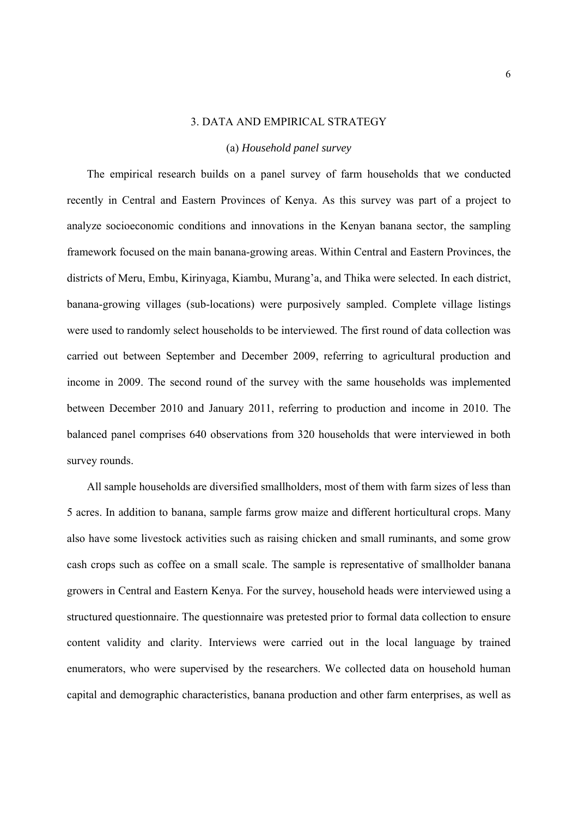#### 3. DATA AND EMPIRICAL STRATEGY

#### (a) *Household panel survey*

The empirical research builds on a panel survey of farm households that we conducted recently in Central and Eastern Provinces of Kenya. As this survey was part of a project to analyze socioeconomic conditions and innovations in the Kenyan banana sector, the sampling framework focused on the main banana-growing areas. Within Central and Eastern Provinces, the districts of Meru, Embu, Kirinyaga, Kiambu, Murang'a, and Thika were selected. In each district, banana-growing villages (sub-locations) were purposively sampled. Complete village listings were used to randomly select households to be interviewed. The first round of data collection was carried out between September and December 2009, referring to agricultural production and income in 2009. The second round of the survey with the same households was implemented between December 2010 and January 2011, referring to production and income in 2010. The balanced panel comprises 640 observations from 320 households that were interviewed in both survey rounds.

All sample households are diversified smallholders, most of them with farm sizes of less than 5 acres. In addition to banana, sample farms grow maize and different horticultural crops. Many also have some livestock activities such as raising chicken and small ruminants, and some grow cash crops such as coffee on a small scale. The sample is representative of smallholder banana growers in Central and Eastern Kenya. For the survey, household heads were interviewed using a structured questionnaire. The questionnaire was pretested prior to formal data collection to ensure content validity and clarity. Interviews were carried out in the local language by trained enumerators, who were supervised by the researchers. We collected data on household human capital and demographic characteristics, banana production and other farm enterprises, as well as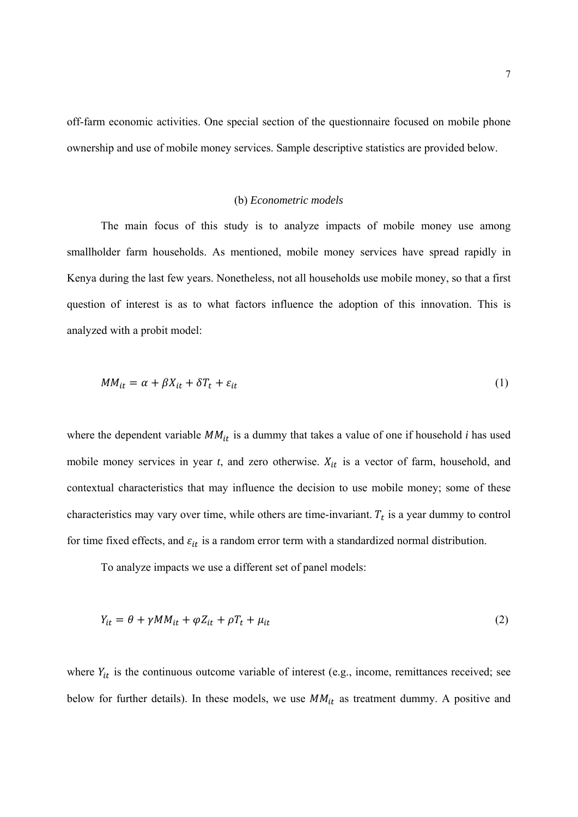off-farm economic activities. One special section of the questionnaire focused on mobile phone ownership and use of mobile money services. Sample descriptive statistics are provided below.

#### (b) *Econometric models*

The main focus of this study is to analyze impacts of mobile money use among smallholder farm households. As mentioned, mobile money services have spread rapidly in Kenya during the last few years. Nonetheless, not all households use mobile money, so that a first question of interest is as to what factors influence the adoption of this innovation. This is analyzed with a probit model:

$$
MM_{it} = \alpha + \beta X_{it} + \delta T_t + \varepsilon_{it} \tag{1}
$$

where the dependent variable  $MM_{it}$  is a dummy that takes a value of one if household *i* has used mobile money services in year  $t$ , and zero otherwise.  $X_{it}$  is a vector of farm, household, and contextual characteristics that may influence the decision to use mobile money; some of these characteristics may vary over time, while others are time-invariant.  $T_t$  is a year dummy to control for time fixed effects, and  $\varepsilon_{it}$  is a random error term with a standardized normal distribution.

To analyze impacts we use a different set of panel models:

$$
Y_{it} = \theta + \gamma M M_{it} + \varphi Z_{it} + \rho T_t + \mu_{it}
$$
\n<sup>(2)</sup>

where  $Y_{it}$  is the continuous outcome variable of interest (e.g., income, remittances received; see below for further details). In these models, we use  $MM_{it}$  as treatment dummy. A positive and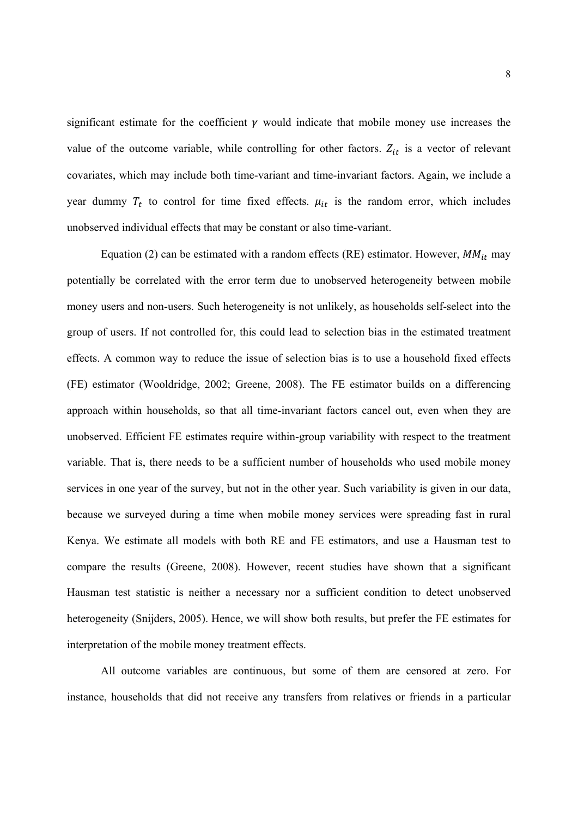significant estimate for the coefficient  $\gamma$  would indicate that mobile money use increases the value of the outcome variable, while controlling for other factors.  $Z_{it}$  is a vector of relevant covariates, which may include both time-variant and time-invariant factors. Again, we include a year dummy  $T_t$  to control for time fixed effects.  $\mu_{it}$  is the random error, which includes unobserved individual effects that may be constant or also time-variant.

Equation (2) can be estimated with a random effects (RE) estimator. However,  $MM_{it}$  may potentially be correlated with the error term due to unobserved heterogeneity between mobile money users and non-users. Such heterogeneity is not unlikely, as households self-select into the group of users. If not controlled for, this could lead to selection bias in the estimated treatment effects. A common way to reduce the issue of selection bias is to use a household fixed effects (FE) estimator (Wooldridge, 2002; Greene, 2008). The FE estimator builds on a differencing approach within households, so that all time-invariant factors cancel out, even when they are unobserved. Efficient FE estimates require within-group variability with respect to the treatment variable. That is, there needs to be a sufficient number of households who used mobile money services in one year of the survey, but not in the other year. Such variability is given in our data, because we surveyed during a time when mobile money services were spreading fast in rural Kenya. We estimate all models with both RE and FE estimators, and use a Hausman test to compare the results (Greene, 2008). However, recent studies have shown that a significant Hausman test statistic is neither a necessary nor a sufficient condition to detect unobserved heterogeneity (Snijders, 2005). Hence, we will show both results, but prefer the FE estimates for interpretation of the mobile money treatment effects.

All outcome variables are continuous, but some of them are censored at zero. For instance, households that did not receive any transfers from relatives or friends in a particular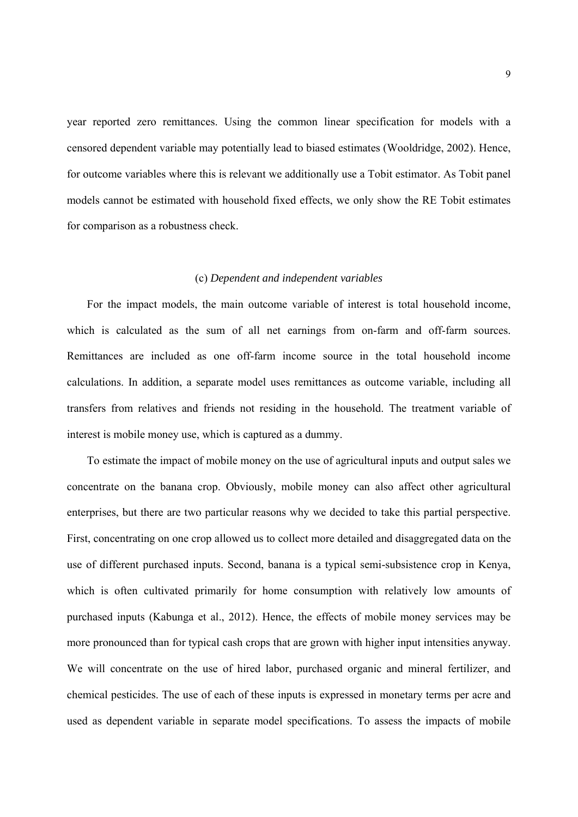year reported zero remittances. Using the common linear specification for models with a censored dependent variable may potentially lead to biased estimates (Wooldridge, 2002). Hence, for outcome variables where this is relevant we additionally use a Tobit estimator. As Tobit panel models cannot be estimated with household fixed effects, we only show the RE Tobit estimates for comparison as a robustness check.

#### (c) *Dependent and independent variables*

For the impact models, the main outcome variable of interest is total household income, which is calculated as the sum of all net earnings from on-farm and off-farm sources. Remittances are included as one off-farm income source in the total household income calculations. In addition, a separate model uses remittances as outcome variable, including all transfers from relatives and friends not residing in the household. The treatment variable of interest is mobile money use, which is captured as a dummy.

To estimate the impact of mobile money on the use of agricultural inputs and output sales we concentrate on the banana crop. Obviously, mobile money can also affect other agricultural enterprises, but there are two particular reasons why we decided to take this partial perspective. First, concentrating on one crop allowed us to collect more detailed and disaggregated data on the use of different purchased inputs. Second, banana is a typical semi-subsistence crop in Kenya, which is often cultivated primarily for home consumption with relatively low amounts of purchased inputs (Kabunga et al., 2012). Hence, the effects of mobile money services may be more pronounced than for typical cash crops that are grown with higher input intensities anyway. We will concentrate on the use of hired labor, purchased organic and mineral fertilizer, and chemical pesticides. The use of each of these inputs is expressed in monetary terms per acre and used as dependent variable in separate model specifications. To assess the impacts of mobile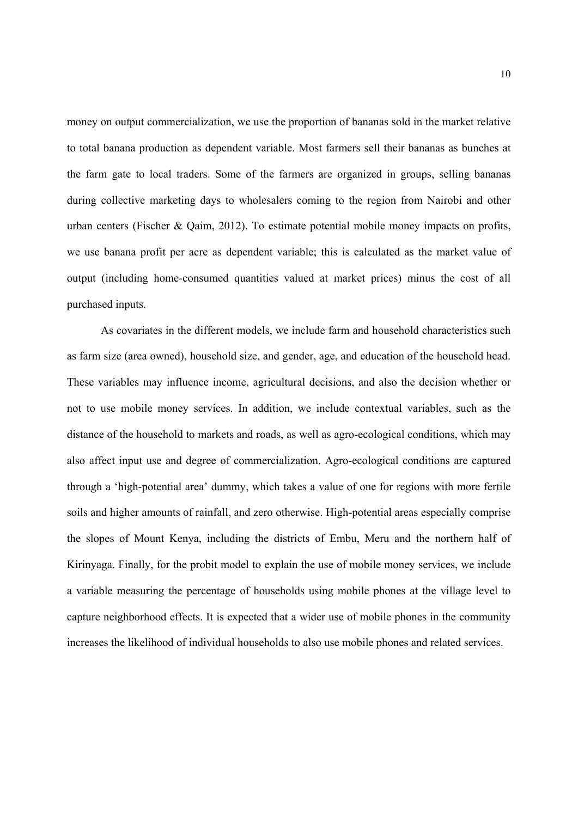money on output commercialization, we use the proportion of bananas sold in the market relative to total banana production as dependent variable. Most farmers sell their bananas as bunches at the farm gate to local traders. Some of the farmers are organized in groups, selling bananas during collective marketing days to wholesalers coming to the region from Nairobi and other urban centers (Fischer & Qaim, 2012). To estimate potential mobile money impacts on profits, we use banana profit per acre as dependent variable; this is calculated as the market value of output (including home-consumed quantities valued at market prices) minus the cost of all purchased inputs.

As covariates in the different models, we include farm and household characteristics such as farm size (area owned), household size, and gender, age, and education of the household head. These variables may influence income, agricultural decisions, and also the decision whether or not to use mobile money services. In addition, we include contextual variables, such as the distance of the household to markets and roads, as well as agro-ecological conditions, which may also affect input use and degree of commercialization. Agro-ecological conditions are captured through a 'high-potential area' dummy, which takes a value of one for regions with more fertile soils and higher amounts of rainfall, and zero otherwise. High-potential areas especially comprise the slopes of Mount Kenya, including the districts of Embu, Meru and the northern half of Kirinyaga. Finally, for the probit model to explain the use of mobile money services, we include a variable measuring the percentage of households using mobile phones at the village level to capture neighborhood effects. It is expected that a wider use of mobile phones in the community increases the likelihood of individual households to also use mobile phones and related services.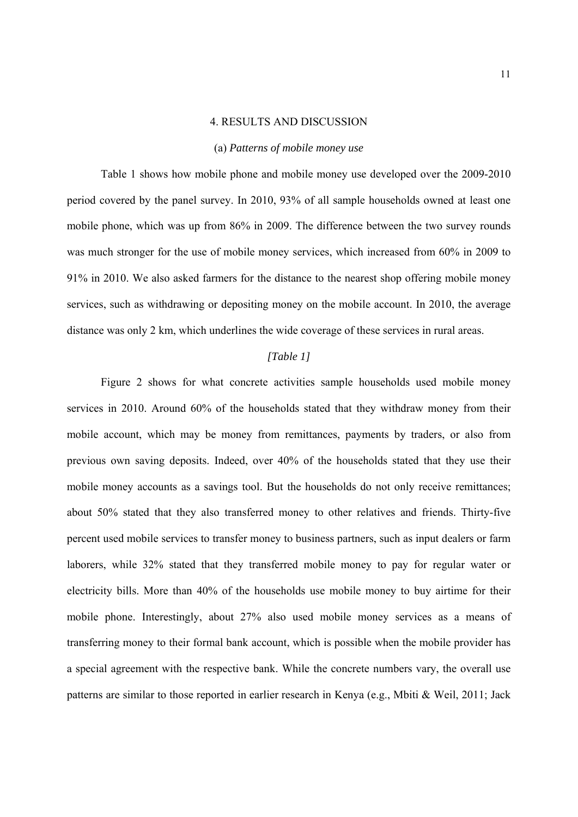#### 4. RESULTS AND DISCUSSION

#### (a) *Patterns of mobile money use*

Table 1 shows how mobile phone and mobile money use developed over the 2009-2010 period covered by the panel survey. In 2010, 93% of all sample households owned at least one mobile phone, which was up from 86% in 2009. The difference between the two survey rounds was much stronger for the use of mobile money services, which increased from 60% in 2009 to 91% in 2010. We also asked farmers for the distance to the nearest shop offering mobile money services, such as withdrawing or depositing money on the mobile account. In 2010, the average distance was only 2 km, which underlines the wide coverage of these services in rural areas.

#### *[Table 1]*

Figure 2 shows for what concrete activities sample households used mobile money services in 2010. Around 60% of the households stated that they withdraw money from their mobile account, which may be money from remittances, payments by traders, or also from previous own saving deposits. Indeed, over 40% of the households stated that they use their mobile money accounts as a savings tool. But the households do not only receive remittances; about 50% stated that they also transferred money to other relatives and friends. Thirty-five percent used mobile services to transfer money to business partners, such as input dealers or farm laborers, while 32% stated that they transferred mobile money to pay for regular water or electricity bills. More than 40% of the households use mobile money to buy airtime for their mobile phone. Interestingly, about 27% also used mobile money services as a means of transferring money to their formal bank account, which is possible when the mobile provider has a special agreement with the respective bank. While the concrete numbers vary, the overall use patterns are similar to those reported in earlier research in Kenya (e.g., Mbiti & Weil, 2011; Jack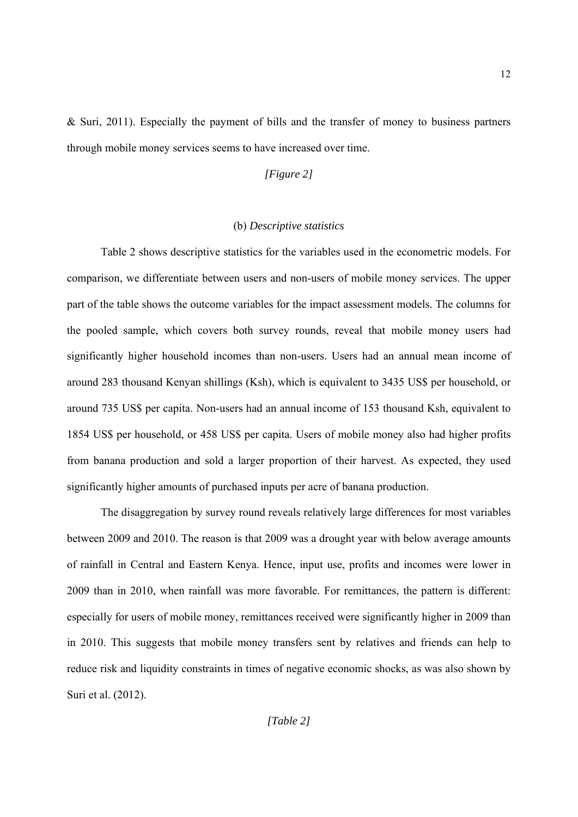$& Suri, 2011$ ). Especially the payment of bills and the transfer of money to business partners through mobile money services seems to have increased over time.

#### *[Figure 2]*

#### (b) *Descriptive statistics*

Table 2 shows descriptive statistics for the variables used in the econometric models. For comparison, we differentiate between users and non-users of mobile money services. The upper part of the table shows the outcome variables for the impact assessment models. The columns for the pooled sample, which covers both survey rounds, reveal that mobile money users had significantly higher household incomes than non-users. Users had an annual mean income of around 283 thousand Kenyan shillings (Ksh), which is equivalent to 3435 US\$ per household, or around 735 US\$ per capita. Non-users had an annual income of 153 thousand Ksh, equivalent to 1854 US\$ per household, or 458 US\$ per capita. Users of mobile money also had higher profits from banana production and sold a larger proportion of their harvest. As expected, they used significantly higher amounts of purchased inputs per acre of banana production.

The disaggregation by survey round reveals relatively large differences for most variables between 2009 and 2010. The reason is that 2009 was a drought year with below average amounts of rainfall in Central and Eastern Kenya. Hence, input use, profits and incomes were lower in 2009 than in 2010, when rainfall was more favorable. For remittances, the pattern is different: especially for users of mobile money, remittances received were significantly higher in 2009 than in 2010. This suggests that mobile money transfers sent by relatives and friends can help to reduce risk and liquidity constraints in times of negative economic shocks, as was also shown by Suri et al. (2012).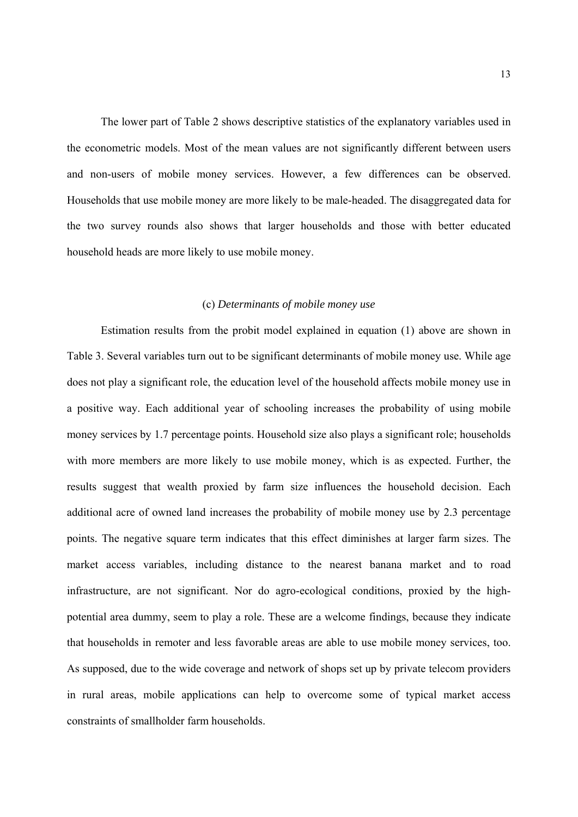The lower part of Table 2 shows descriptive statistics of the explanatory variables used in the econometric models. Most of the mean values are not significantly different between users and non-users of mobile money services. However, a few differences can be observed. Households that use mobile money are more likely to be male-headed. The disaggregated data for the two survey rounds also shows that larger households and those with better educated household heads are more likely to use mobile money.

#### (c) *Determinants of mobile money use*

Estimation results from the probit model explained in equation (1) above are shown in Table 3. Several variables turn out to be significant determinants of mobile money use. While age does not play a significant role, the education level of the household affects mobile money use in a positive way. Each additional year of schooling increases the probability of using mobile money services by 1.7 percentage points. Household size also plays a significant role; households with more members are more likely to use mobile money, which is as expected. Further, the results suggest that wealth proxied by farm size influences the household decision. Each additional acre of owned land increases the probability of mobile money use by 2.3 percentage points. The negative square term indicates that this effect diminishes at larger farm sizes. The market access variables, including distance to the nearest banana market and to road infrastructure, are not significant. Nor do agro-ecological conditions, proxied by the highpotential area dummy, seem to play a role. These are a welcome findings, because they indicate that households in remoter and less favorable areas are able to use mobile money services, too. As supposed, due to the wide coverage and network of shops set up by private telecom providers in rural areas, mobile applications can help to overcome some of typical market access constraints of smallholder farm households.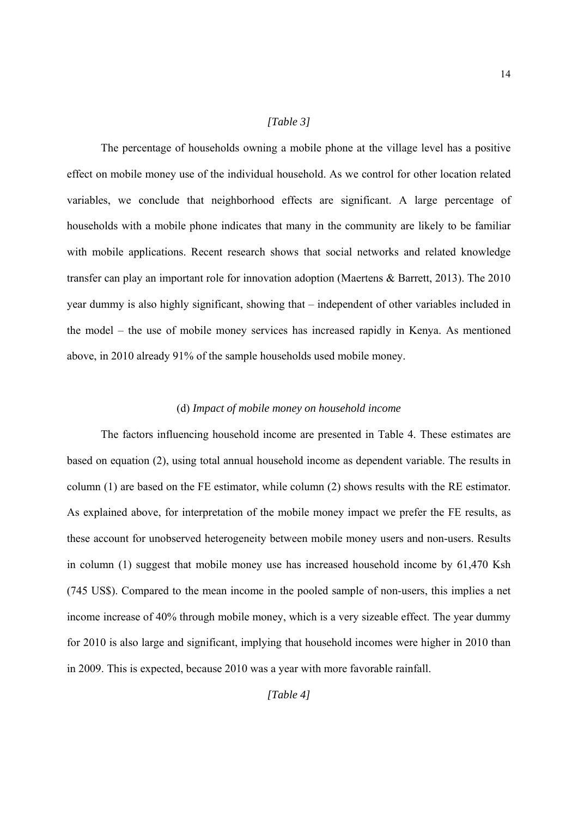#### *[Table 3]*

The percentage of households owning a mobile phone at the village level has a positive effect on mobile money use of the individual household. As we control for other location related variables, we conclude that neighborhood effects are significant. A large percentage of households with a mobile phone indicates that many in the community are likely to be familiar with mobile applications. Recent research shows that social networks and related knowledge transfer can play an important role for innovation adoption (Maertens & Barrett, 2013). The 2010 year dummy is also highly significant, showing that – independent of other variables included in the model – the use of mobile money services has increased rapidly in Kenya. As mentioned above, in 2010 already 91% of the sample households used mobile money.

#### (d) *Impact of mobile money on household income*

The factors influencing household income are presented in Table 4. These estimates are based on equation (2), using total annual household income as dependent variable. The results in column (1) are based on the FE estimator, while column (2) shows results with the RE estimator. As explained above, for interpretation of the mobile money impact we prefer the FE results, as these account for unobserved heterogeneity between mobile money users and non-users. Results in column (1) suggest that mobile money use has increased household income by 61,470 Ksh (745 US\$). Compared to the mean income in the pooled sample of non-users, this implies a net income increase of 40% through mobile money, which is a very sizeable effect. The year dummy for 2010 is also large and significant, implying that household incomes were higher in 2010 than in 2009. This is expected, because 2010 was a year with more favorable rainfall.

14

*[Table 4]*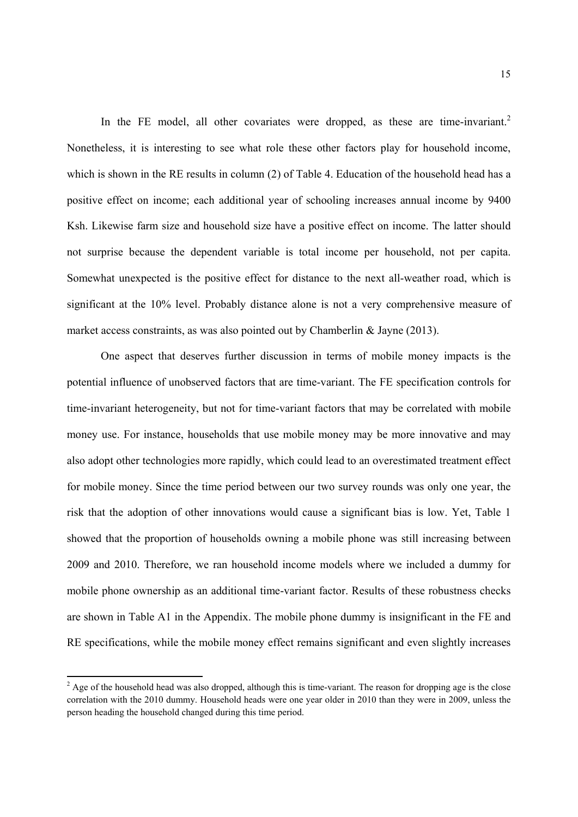In the FE model, all other covariates were dropped, as these are time-invariant.<sup>2</sup> Nonetheless, it is interesting to see what role these other factors play for household income, which is shown in the RE results in column (2) of Table 4. Education of the household head has a positive effect on income; each additional year of schooling increases annual income by 9400 Ksh. Likewise farm size and household size have a positive effect on income. The latter should not surprise because the dependent variable is total income per household, not per capita. Somewhat unexpected is the positive effect for distance to the next all-weather road, which is significant at the 10% level. Probably distance alone is not a very comprehensive measure of market access constraints, as was also pointed out by Chamberlin & Jayne (2013).

One aspect that deserves further discussion in terms of mobile money impacts is the potential influence of unobserved factors that are time-variant. The FE specification controls for time-invariant heterogeneity, but not for time-variant factors that may be correlated with mobile money use. For instance, households that use mobile money may be more innovative and may also adopt other technologies more rapidly, which could lead to an overestimated treatment effect for mobile money. Since the time period between our two survey rounds was only one year, the risk that the adoption of other innovations would cause a significant bias is low. Yet, Table 1 showed that the proportion of households owning a mobile phone was still increasing between 2009 and 2010. Therefore, we ran household income models where we included a dummy for mobile phone ownership as an additional time-variant factor. Results of these robustness checks are shown in Table A1 in the Appendix. The mobile phone dummy is insignificant in the FE and RE specifications, while the mobile money effect remains significant and even slightly increases

 $\frac{1}{2}$  Age of the household head was also dropped, although this is time-variant. The reason for dropping age is the close correlation with the 2010 dummy. Household heads were one year older in 2010 than they were in 2009, unless the person heading the household changed during this time period.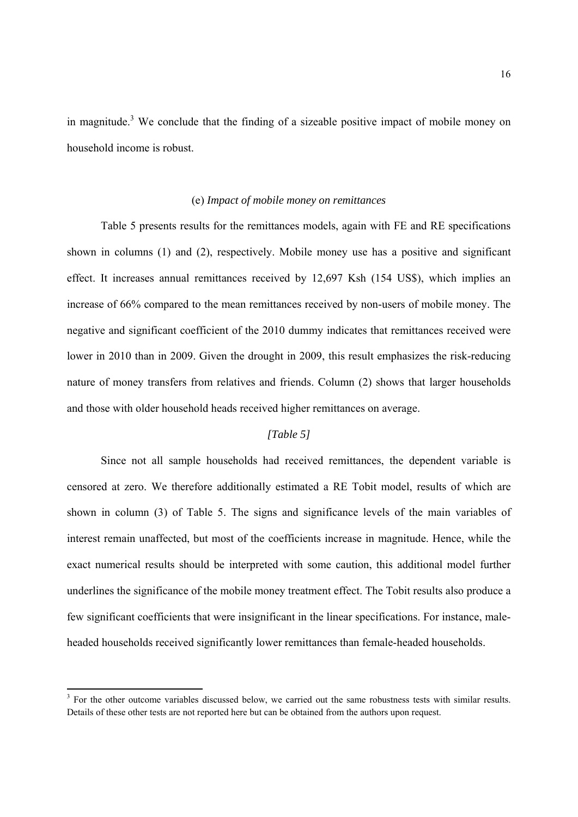in magnitude.<sup>3</sup> We conclude that the finding of a sizeable positive impact of mobile money on household income is robust.

#### (e) *Impact of mobile money on remittances*

Table 5 presents results for the remittances models, again with FE and RE specifications shown in columns (1) and (2), respectively. Mobile money use has a positive and significant effect. It increases annual remittances received by 12,697 Ksh (154 US\$), which implies an increase of 66% compared to the mean remittances received by non-users of mobile money. The negative and significant coefficient of the 2010 dummy indicates that remittances received were lower in 2010 than in 2009. Given the drought in 2009, this result emphasizes the risk-reducing nature of money transfers from relatives and friends. Column (2) shows that larger households and those with older household heads received higher remittances on average.

#### *[Table 5]*

Since not all sample households had received remittances, the dependent variable is censored at zero. We therefore additionally estimated a RE Tobit model, results of which are shown in column (3) of Table 5. The signs and significance levels of the main variables of interest remain unaffected, but most of the coefficients increase in magnitude. Hence, while the exact numerical results should be interpreted with some caution, this additional model further underlines the significance of the mobile money treatment effect. The Tobit results also produce a few significant coefficients that were insignificant in the linear specifications. For instance, maleheaded households received significantly lower remittances than female-headed households.

<sup>&</sup>lt;sup>3</sup> For the other outcome variables discussed below, we carried out the same robustness tests with similar results. Details of these other tests are not reported here but can be obtained from the authors upon request.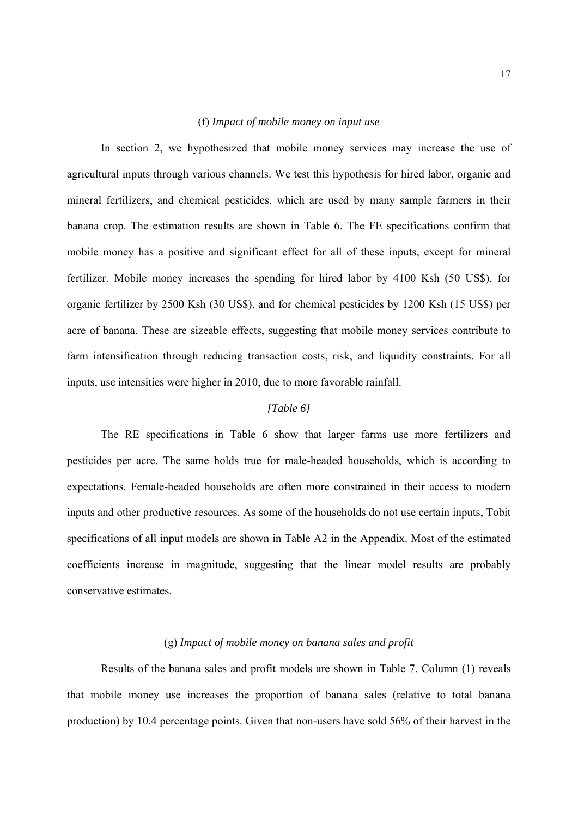#### (f) *Impact of mobile money on input use*

In section 2, we hypothesized that mobile money services may increase the use of agricultural inputs through various channels. We test this hypothesis for hired labor, organic and mineral fertilizers, and chemical pesticides, which are used by many sample farmers in their banana crop. The estimation results are shown in Table 6. The FE specifications confirm that mobile money has a positive and significant effect for all of these inputs, except for mineral fertilizer. Mobile money increases the spending for hired labor by 4100 Ksh (50 US\$), for organic fertilizer by 2500 Ksh (30 US\$), and for chemical pesticides by 1200 Ksh (15 US\$) per acre of banana. These are sizeable effects, suggesting that mobile money services contribute to farm intensification through reducing transaction costs, risk, and liquidity constraints. For all inputs, use intensities were higher in 2010, due to more favorable rainfall.

#### *[Table 6]*

The RE specifications in Table 6 show that larger farms use more fertilizers and pesticides per acre. The same holds true for male-headed households, which is according to expectations. Female-headed households are often more constrained in their access to modern inputs and other productive resources. As some of the households do not use certain inputs, Tobit specifications of all input models are shown in Table A2 in the Appendix. Most of the estimated coefficients increase in magnitude, suggesting that the linear model results are probably conservative estimates.

#### (g) *Impact of mobile money on banana sales and profit*

Results of the banana sales and profit models are shown in Table 7. Column (1) reveals that mobile money use increases the proportion of banana sales (relative to total banana production) by 10.4 percentage points. Given that non-users have sold 56% of their harvest in the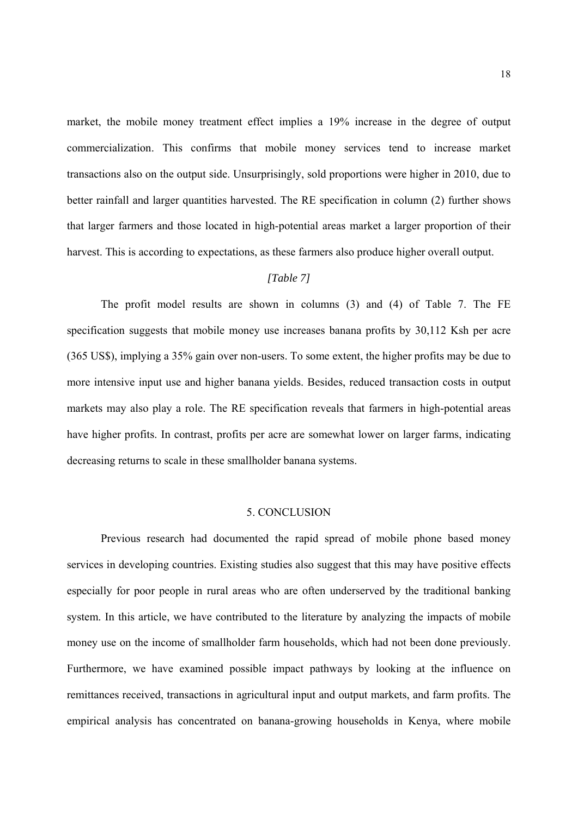market, the mobile money treatment effect implies a 19% increase in the degree of output commercialization. This confirms that mobile money services tend to increase market transactions also on the output side. Unsurprisingly, sold proportions were higher in 2010, due to better rainfall and larger quantities harvested. The RE specification in column (2) further shows that larger farmers and those located in high-potential areas market a larger proportion of their harvest. This is according to expectations, as these farmers also produce higher overall output.

#### *[Table 7]*

The profit model results are shown in columns (3) and (4) of Table 7. The FE specification suggests that mobile money use increases banana profits by 30,112 Ksh per acre (365 US\$), implying a 35% gain over non-users. To some extent, the higher profits may be due to more intensive input use and higher banana yields. Besides, reduced transaction costs in output markets may also play a role. The RE specification reveals that farmers in high-potential areas have higher profits. In contrast, profits per acre are somewhat lower on larger farms, indicating decreasing returns to scale in these smallholder banana systems.

#### 5. CONCLUSION

 Previous research had documented the rapid spread of mobile phone based money services in developing countries. Existing studies also suggest that this may have positive effects especially for poor people in rural areas who are often underserved by the traditional banking system. In this article, we have contributed to the literature by analyzing the impacts of mobile money use on the income of smallholder farm households, which had not been done previously. Furthermore, we have examined possible impact pathways by looking at the influence on remittances received, transactions in agricultural input and output markets, and farm profits. The empirical analysis has concentrated on banana-growing households in Kenya, where mobile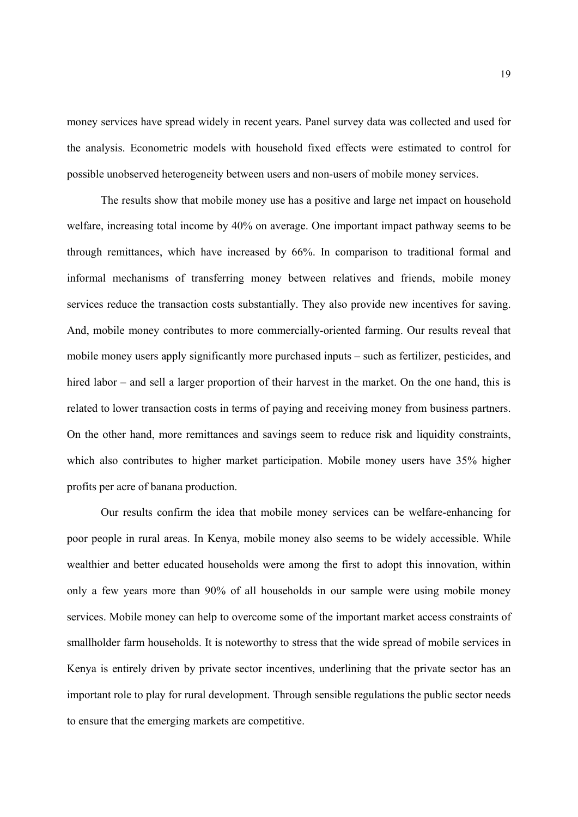money services have spread widely in recent years. Panel survey data was collected and used for the analysis. Econometric models with household fixed effects were estimated to control for possible unobserved heterogeneity between users and non-users of mobile money services.

 The results show that mobile money use has a positive and large net impact on household welfare, increasing total income by 40% on average. One important impact pathway seems to be through remittances, which have increased by 66%. In comparison to traditional formal and informal mechanisms of transferring money between relatives and friends, mobile money services reduce the transaction costs substantially. They also provide new incentives for saving. And, mobile money contributes to more commercially-oriented farming. Our results reveal that mobile money users apply significantly more purchased inputs – such as fertilizer, pesticides, and hired labor – and sell a larger proportion of their harvest in the market. On the one hand, this is related to lower transaction costs in terms of paying and receiving money from business partners. On the other hand, more remittances and savings seem to reduce risk and liquidity constraints, which also contributes to higher market participation. Mobile money users have 35% higher profits per acre of banana production.

 Our results confirm the idea that mobile money services can be welfare-enhancing for poor people in rural areas. In Kenya, mobile money also seems to be widely accessible. While wealthier and better educated households were among the first to adopt this innovation, within only a few years more than 90% of all households in our sample were using mobile money services. Mobile money can help to overcome some of the important market access constraints of smallholder farm households. It is noteworthy to stress that the wide spread of mobile services in Kenya is entirely driven by private sector incentives, underlining that the private sector has an important role to play for rural development. Through sensible regulations the public sector needs to ensure that the emerging markets are competitive.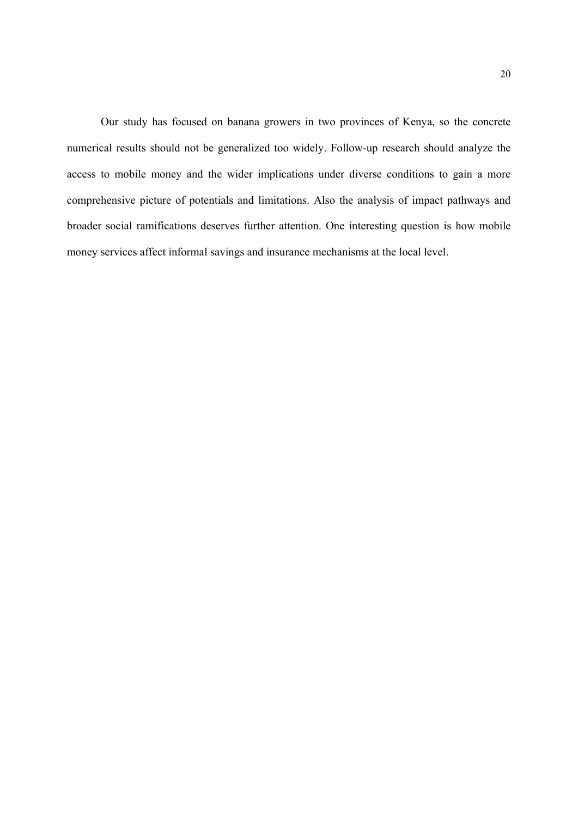Our study has focused on banana growers in two provinces of Kenya, so the concrete numerical results should not be generalized too widely. Follow-up research should analyze the access to mobile money and the wider implications under diverse conditions to gain a more comprehensive picture of potentials and limitations. Also the analysis of impact pathways and broader social ramifications deserves further attention. One interesting question is how mobile money services affect informal savings and insurance mechanisms at the local level.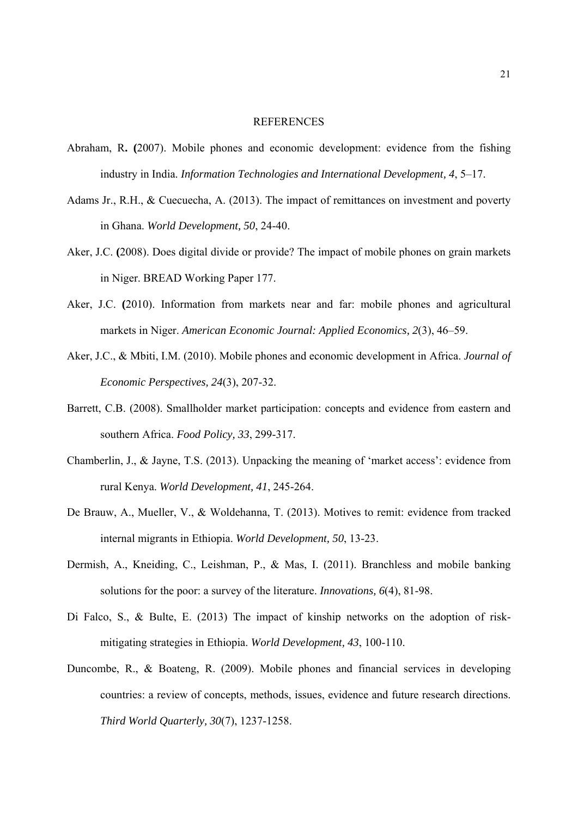#### REFERENCES

- Abraham, R**. (**2007). Mobile phones and economic development: evidence from the fishing industry in India. *Information Technologies and International Development, 4*, 5–17.
- Adams Jr., R.H., & Cuecuecha, A. (2013). The impact of remittances on investment and poverty in Ghana. *World Development, 50*, 24-40.
- Aker, J.C. **(**2008). Does digital divide or provide? The impact of mobile phones on grain markets in Niger. BREAD Working Paper 177.
- Aker, J.C. **(**2010). Information from markets near and far: mobile phones and agricultural markets in Niger. *American Economic Journal: Applied Economics, 2*(3), 46–59.
- Aker, J.C., & Mbiti, I.M. (2010). Mobile phones and economic development in Africa. *Journal of Economic Perspectives, 24*(3), 207-32.
- Barrett, C.B. (2008). Smallholder market participation: concepts and evidence from eastern and southern Africa. *Food Policy, 33*, 299-317.
- Chamberlin, J., & Jayne, T.S. (2013). Unpacking the meaning of 'market access': evidence from rural Kenya. *World Development, 41*, 245-264.
- De Brauw, A., Mueller, V., & Woldehanna, T. (2013). Motives to remit: evidence from tracked internal migrants in Ethiopia. *World Development, 50*, 13-23.
- Dermish, A., Kneiding, C., Leishman, P., & Mas, I. (2011). Branchless and mobile banking solutions for the poor: a survey of the literature. *Innovations, 6*(4), 81-98.
- Di Falco, S., & Bulte, E. (2013) The impact of kinship networks on the adoption of riskmitigating strategies in Ethiopia. *World Development, 43*, 100-110.
- Duncombe, R., & Boateng, R. (2009). Mobile phones and financial services in developing countries: a review of concepts, methods, issues, evidence and future research directions. *Third World Quarterly, 30*(7), 1237-1258.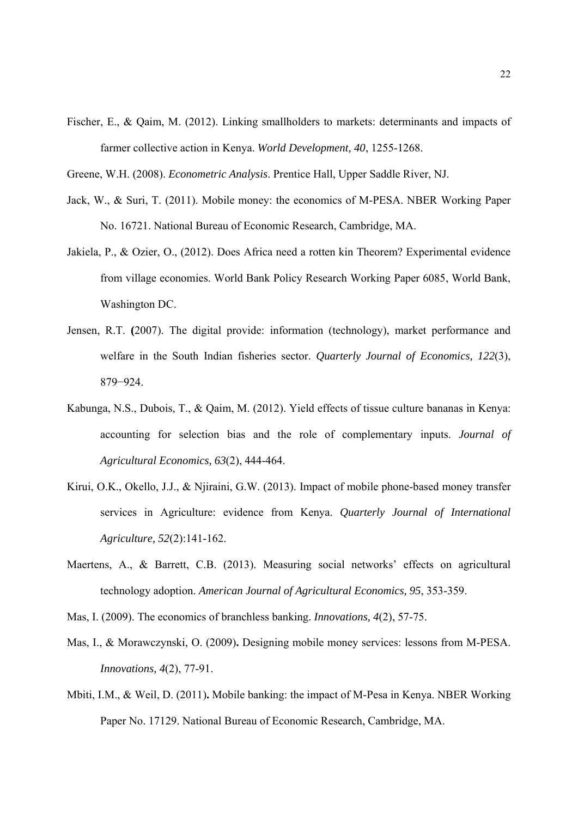Fischer, E., & Qaim, M. (2012). Linking smallholders to markets: determinants and impacts of farmer collective action in Kenya. *World Development, 40*, 1255-1268.

Greene, W.H. (2008). *Econometric Analysis*. Prentice Hall, Upper Saddle River, NJ.

- Jack, W., & Suri, T. (2011). Mobile money: the economics of M-PESA. NBER Working Paper No. 16721. National Bureau of Economic Research, Cambridge, MA.
- Jakiela, P., & Ozier, O., (2012). Does Africa need a rotten kin Theorem? Experimental evidence from village economies. World Bank Policy Research Working Paper 6085, World Bank, Washington DC.
- Jensen, R.T. **(**2007). The digital provide: information (technology), market performance and welfare in the South Indian fisheries sector. *Quarterly Journal of Economics, 122*(3), 879−924.
- Kabunga, N.S., Dubois, T., & Qaim, M. (2012). Yield effects of tissue culture bananas in Kenya: accounting for selection bias and the role of complementary inputs. *Journal of Agricultural Economics, 63*(2), 444-464.
- Kirui, O.K., Okello, J.J., & Njiraini, G.W. (2013). Impact of mobile phone-based money transfer services in Agriculture: evidence from Kenya. *Quarterly Journal of International Agriculture, 52*(2):141-162.
- Maertens, A., & Barrett, C.B. (2013). Measuring social networks' effects on agricultural technology adoption. *American Journal of Agricultural Economics, 95*, 353-359.
- Mas, I. (2009). The economics of branchless banking. *Innovations, 4*(2), 57-75.
- Mas, I., & Morawczynski, O. (2009)**.** Designing mobile money services: lessons from M-PESA. *Innovations, 4*(2), 77-91.
- Mbiti, I.M., & Weil, D. (2011)**.** Mobile banking: the impact of M-Pesa in Kenya. NBER Working Paper No. 17129. National Bureau of Economic Research, Cambridge, MA.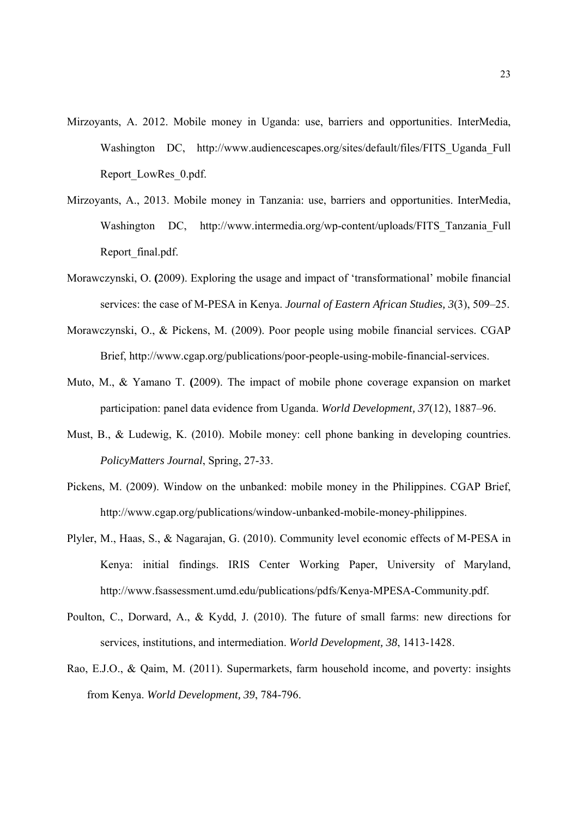- Mirzoyants, A. 2012. Mobile money in Uganda: use, barriers and opportunities. InterMedia, Washington DC, http://www.audiencescapes.org/sites/default/files/FITS Uganda Full Report\_LowRes\_0.pdf.
- Mirzoyants, A., 2013. Mobile money in Tanzania: use, barriers and opportunities. InterMedia, Washington DC, http://www.intermedia.org/wp-content/uploads/FITS Tanzania Full Report\_final.pdf.
- Morawczynski, O. **(**2009). Exploring the usage and impact of 'transformational' mobile financial services: the case of M-PESA in Kenya. *Journal of Eastern African Studies, 3*(3), 509–25.
- Morawczynski, O., & Pickens, M. (2009). Poor people using mobile financial services. CGAP Brief, http://www.cgap.org/publications/poor-people-using-mobile-financial-services.
- Muto, M., & Yamano T. **(**2009). The impact of mobile phone coverage expansion on market participation: panel data evidence from Uganda. *World Development, 37*(12), 1887–96.
- Must, B., & Ludewig, K. (2010). Mobile money: cell phone banking in developing countries. *PolicyMatters Journal*, Spring, 27-33.
- Pickens, M. (2009). Window on the unbanked: mobile money in the Philippines. CGAP Brief, http://www.cgap.org/publications/window-unbanked-mobile-money-philippines.
- Plyler, M., Haas, S., & Nagarajan, G. (2010). Community level economic effects of M-PESA in Kenya: initial findings. IRIS Center Working Paper, University of Maryland, http://www.fsassessment.umd.edu/publications/pdfs/Kenya-MPESA-Community.pdf.
- Poulton, C., Dorward, A., & Kydd, J. (2010). The future of small farms: new directions for services, institutions, and intermediation. *World Development, 38*, 1413-1428.
- Rao, E.J.O., & Qaim, M. (2011). Supermarkets, farm household income, and poverty: insights from Kenya. *World Development, 39*, 784-796.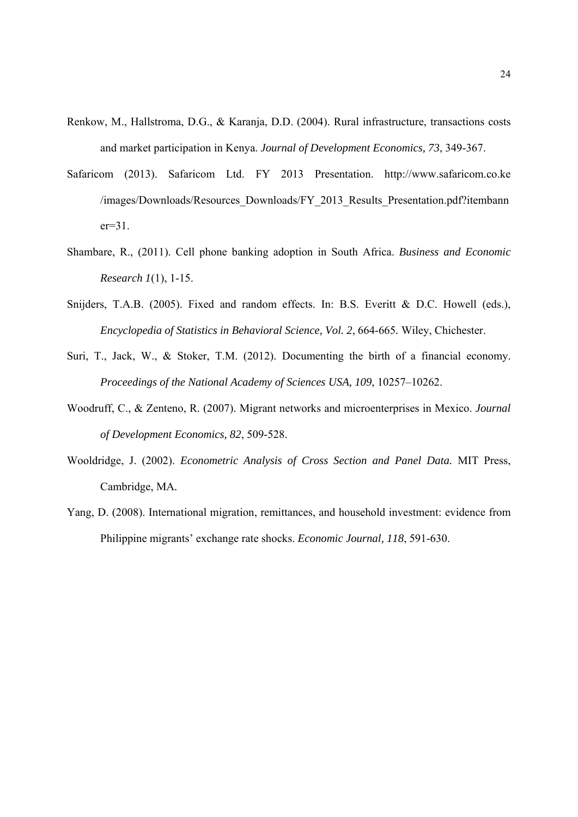- Renkow, M., Hallstroma, D.G., & Karanja, D.D. (2004). Rural infrastructure, transactions costs and market participation in Kenya. *Journal of Development Economics, 73*, 349-367.
- Safaricom (2013). Safaricom Ltd. FY 2013 Presentation. http://www.safaricom.co.ke /images/Downloads/Resources\_Downloads/FY\_2013\_Results\_Presentation.pdf?itembann  $er=31$ .
- Shambare, R., (2011). Cell phone banking adoption in South Africa. *Business and Economic Research 1*(1), 1-15.
- Snijders, T.A.B. (2005). Fixed and random effects. In: B.S. Everitt & D.C. Howell (eds.), *Encyclopedia of Statistics in Behavioral Science, Vol. 2*, 664-665*.* Wiley, Chichester.
- Suri, T., Jack, W., & Stoker, T.M. (2012). Documenting the birth of a financial economy. *Proceedings of the National Academy of Sciences USA, 109*, 10257–10262.
- Woodruff, C., & Zenteno, R. (2007). Migrant networks and microenterprises in Mexico. *Journal of Development Economics, 82*, 509-528.
- Wooldridge, J. (2002). *Econometric Analysis of Cross Section and Panel Data.* MIT Press, Cambridge, MA*.*
- Yang, D. (2008). International migration, remittances, and household investment: evidence from Philippine migrants' exchange rate shocks. *Economic Journal, 118*, 591-630.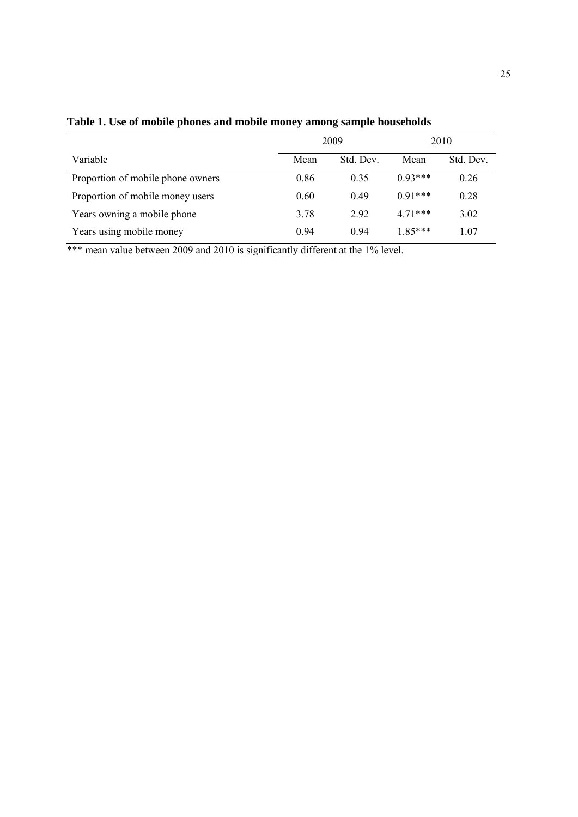|                                   | 2009 |           |           | 2010      |
|-----------------------------------|------|-----------|-----------|-----------|
| Variable                          | Mean | Std. Dev. | Mean      | Std. Dev. |
| Proportion of mobile phone owners | 0.86 | 0.35      | $0.93***$ | 0.26      |
| Proportion of mobile money users  | 0.60 | 0.49      | $0.91***$ | 0.28      |
| Years owning a mobile phone       | 3.78 | 292       | $471***$  | 3.02      |
| Years using mobile money          | 0.94 | 0.94      | $1.85***$ | 1.07      |

**Table 1. Use of mobile phones and mobile money among sample households** 

\*\*\* mean value between 2009 and 2010 is significantly different at the 1% level.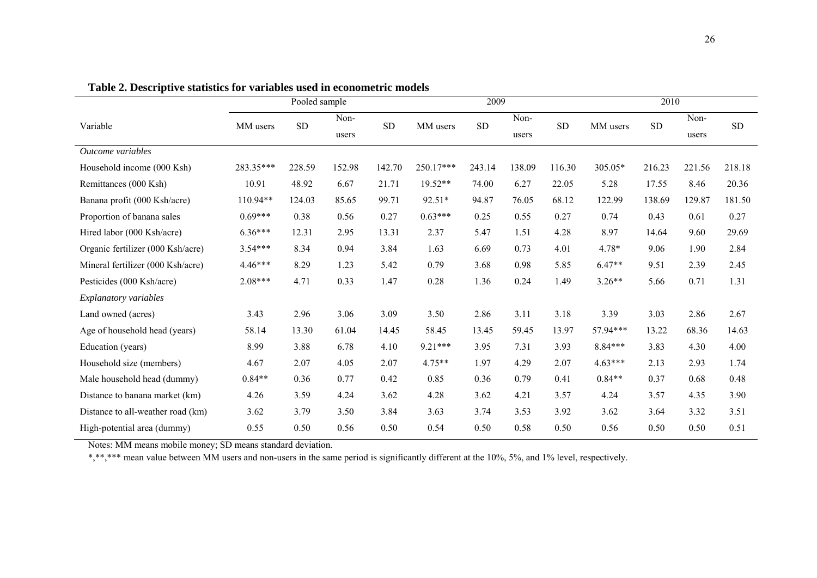|                                   |           | Pooled sample |               |            |           | 2009      |               |           |           | 2010      |               |           |
|-----------------------------------|-----------|---------------|---------------|------------|-----------|-----------|---------------|-----------|-----------|-----------|---------------|-----------|
| Variable                          | MM users  | <b>SD</b>     | Non-<br>users | ${\rm SD}$ | MM users  | <b>SD</b> | Non-<br>users | <b>SD</b> | MM users  | <b>SD</b> | Non-<br>users | <b>SD</b> |
| Outcome variables                 |           |               |               |            |           |           |               |           |           |           |               |           |
| Household income (000 Ksh)        | 283.35*** | 228.59        | 152.98        | 142.70     | 250.17*** | 243.14    | 138.09        | 116.30    | 305.05*   | 216.23    | 221.56        | 218.18    |
| Remittances (000 Ksh)             | 10.91     | 48.92         | 6.67          | 21.71      | $19.52**$ | 74.00     | 6.27          | 22.05     | 5.28      | 17.55     | 8.46          | 20.36     |
| Banana profit (000 Ksh/acre)      | 110.94**  | 124.03        | 85.65         | 99.71      | 92.51*    | 94.87     | 76.05         | 68.12     | 122.99    | 138.69    | 129.87        | 181.50    |
| Proportion of banana sales        | $0.69***$ | 0.38          | 0.56          | 0.27       | $0.63***$ | 0.25      | 0.55          | 0.27      | 0.74      | 0.43      | 0.61          | 0.27      |
| Hired labor (000 Ksh/acre)        | $6.36***$ | 12.31         | 2.95          | 13.31      | 2.37      | 5.47      | 1.51          | 4.28      | 8.97      | 14.64     | 9.60          | 29.69     |
| Organic fertilizer (000 Ksh/acre) | $3.54***$ | 8.34          | 0.94          | 3.84       | 1.63      | 6.69      | 0.73          | 4.01      | 4.78*     | 9.06      | 1.90          | 2.84      |
| Mineral fertilizer (000 Ksh/acre) | $4.46***$ | 8.29          | 1.23          | 5.42       | 0.79      | 3.68      | 0.98          | 5.85      | $6.47**$  | 9.51      | 2.39          | 2.45      |
| Pesticides (000 Ksh/acre)         | $2.08***$ | 4.71          | 0.33          | 1.47       | 0.28      | 1.36      | 0.24          | 1.49      | $3.26**$  | 5.66      | 0.71          | 1.31      |
| Explanatory variables             |           |               |               |            |           |           |               |           |           |           |               |           |
| Land owned (acres)                | 3.43      | 2.96          | 3.06          | 3.09       | 3.50      | 2.86      | 3.11          | 3.18      | 3.39      | 3.03      | 2.86          | 2.67      |
| Age of household head (years)     | 58.14     | 13.30         | 61.04         | 14.45      | 58.45     | 13.45     | 59.45         | 13.97     | 57.94***  | 13.22     | 68.36         | 14.63     |
| Education (years)                 | 8.99      | 3.88          | 6.78          | 4.10       | $9.21***$ | 3.95      | 7.31          | 3.93      | $8.84***$ | 3.83      | 4.30          | 4.00      |
| Household size (members)          | 4.67      | 2.07          | 4.05          | 2.07       | 4.75**    | 1.97      | 4.29          | 2.07      | $4.63***$ | 2.13      | 2.93          | 1.74      |
| Male household head (dummy)       | $0.84**$  | 0.36          | 0.77          | 0.42       | 0.85      | 0.36      | 0.79          | 0.41      | $0.84**$  | 0.37      | 0.68          | 0.48      |
| Distance to banana market (km)    | 4.26      | 3.59          | 4.24          | 3.62       | 4.28      | 3.62      | 4.21          | 3.57      | 4.24      | 3.57      | 4.35          | 3.90      |
| Distance to all-weather road (km) | 3.62      | 3.79          | 3.50          | 3.84       | 3.63      | 3.74      | 3.53          | 3.92      | 3.62      | 3.64      | 3.32          | 3.51      |
| High-potential area (dummy)       | 0.55      | 0.50          | 0.56          | 0.50       | 0.54      | 0.50      | 0.58          | 0.50      | 0.56      | 0.50      | 0.50          | 0.51      |

**Table 2. Descriptive statistics for variables used in econometric models** 

Notes: MM means mobile money; SD means standard deviation.

\*,\*\*,\*\*\* mean value between MM users and non-users in the same period is significantly different at the 10%, 5%, and 1% level, respectively.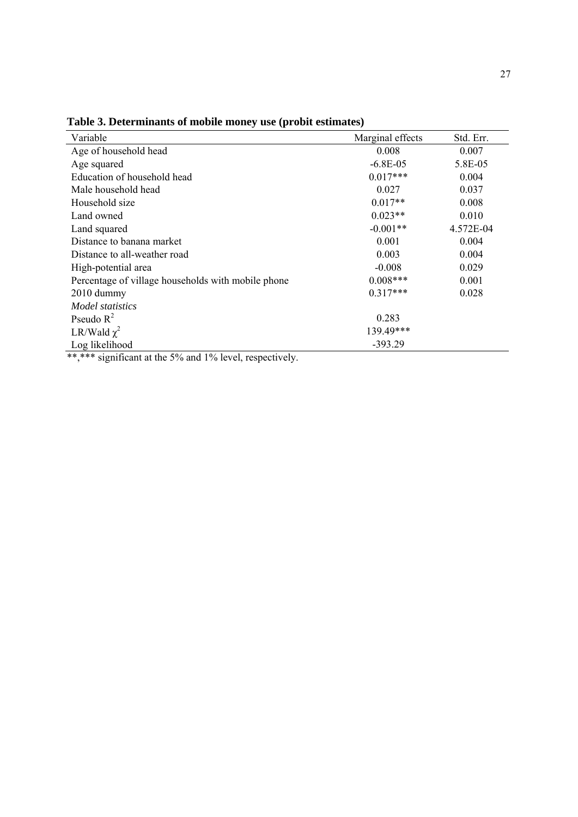| Variable                                                            | Marginal effects | Std. Err. |
|---------------------------------------------------------------------|------------------|-----------|
| Age of household head                                               | 0.008            | 0.007     |
| Age squared                                                         | $-6.8E-05$       | 5.8E-05   |
| Education of household head                                         | $0.017***$       | 0.004     |
| Male household head                                                 | 0.027            | 0.037     |
| Household size                                                      | $0.017**$        | 0.008     |
| Land owned                                                          | $0.023**$        | 0.010     |
| Land squared                                                        | $-0.001**$       | 4.572E-04 |
| Distance to banana market                                           | 0.001            | 0.004     |
| Distance to all-weather road                                        | 0.003            | 0.004     |
| High-potential area                                                 | $-0.008$         | 0.029     |
| Percentage of village households with mobile phone                  | $0.008***$       | 0.001     |
| 2010 dummy                                                          | $0.317***$       | 0.028     |
| Model statistics                                                    |                  |           |
| Pseudo $R^2$                                                        | 0.283            |           |
| LR/Wald $\chi^2$                                                    | 139.49***        |           |
| Log likelihood<br>$\bullet$ $\bullet$ $\bullet$ $\bullet$ $\bullet$ | $-393.29$        |           |

**Table 3. Determinants of mobile money use (probit estimates)**

\*\*,\*\*\* significant at the 5% and 1% level, respectively.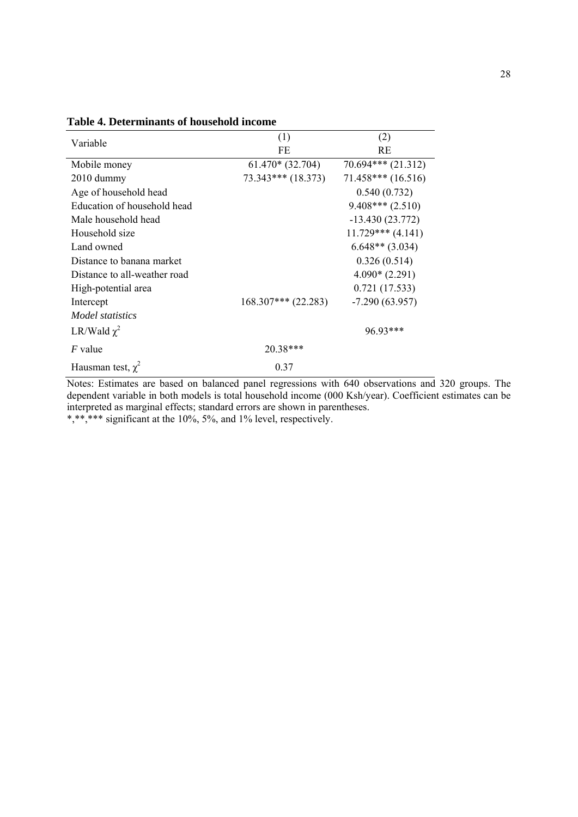| Variable                     | (1)                   | (2)                  |  |
|------------------------------|-----------------------|----------------------|--|
|                              | FE                    | RE                   |  |
| Mobile money                 | $61.470*(32.704)$     | $70.694***$ (21.312) |  |
| $2010$ dummy                 | $73.343***$ (18.373)  | $71.458***$ (16.516) |  |
| Age of household head        |                       | 0.540(0.732)         |  |
| Education of household head  |                       | $9.408***$ (2.510)   |  |
| Male household head          |                       | $-13.430(23.772)$    |  |
| Household size               |                       | $11.729***$ (4.141)  |  |
| Land owned                   |                       | $6.648**$ (3.034)    |  |
| Distance to banana market    |                       | 0.326(0.514)         |  |
| Distance to all-weather road |                       | $4.090*(2.291)$      |  |
| High-potential area          |                       | 0.721(17.533)        |  |
| Intercept                    | $168.307***$ (22.283) | $-7.290(63.957)$     |  |
| <i>Model statistics</i>      |                       |                      |  |
| LR/Wald $\chi^2$             |                       | 96.93***             |  |
| <i>F</i> value               | 20.38***              |                      |  |
| Hausman test, $\chi^2$       | 0.37                  |                      |  |

**Table 4. Determinants of household income**

Notes: Estimates are based on balanced panel regressions with 640 observations and 320 groups. The dependent variable in both models is total household income (000 Ksh/year). Coefficient estimates can be interpreted as marginal effects; standard errors are shown in parentheses. \*,\*\*,\*\*\* significant at the 10%, 5%, and 1% level, respectively.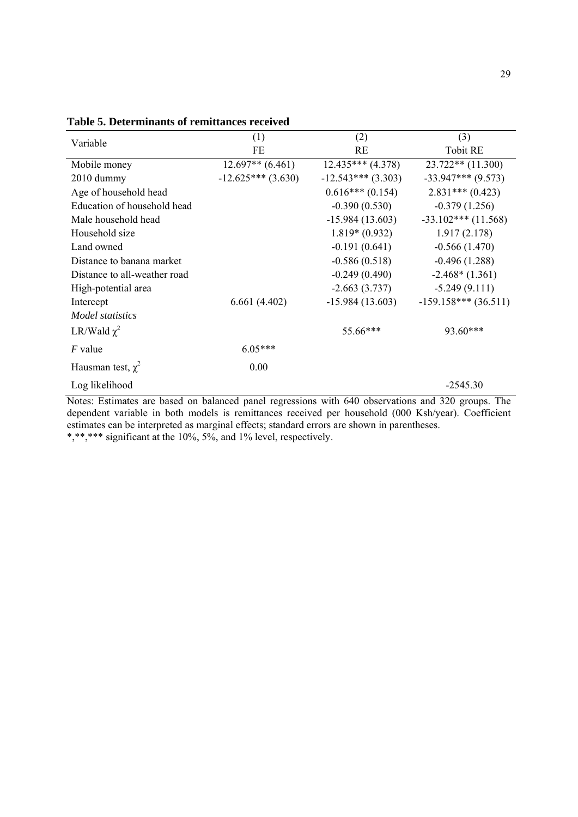| Variable                     | (1)                  | (2)                   | (3)                   |
|------------------------------|----------------------|-----------------------|-----------------------|
|                              | FE                   | RE                    | <b>Tobit RE</b>       |
| Mobile money                 | $12.697**$ (6.461)   | $12.435***$ $(4.378)$ | $23.722**$ (11.300)   |
| 2010 dummy                   | $-12.625***$ (3.630) | $-12.543***$ (3.303)  | $-33.947***$ (9.573)  |
| Age of household head        |                      | $0.616***(0.154)$     | $2.831***(0.423)$     |
| Education of household head  |                      | $-0.390(0.530)$       | $-0.379(1.256)$       |
| Male household head          |                      | $-15.984(13.603)$     | $-33.102***$ (11.568) |
| Household size               |                      | $1.819*(0.932)$       | 1.917(2.178)          |
| Land owned                   |                      | $-0.191(0.641)$       | $-0.566(1.470)$       |
| Distance to banana market    |                      | $-0.586(0.518)$       | $-0.496(1.288)$       |
| Distance to all-weather road |                      | $-0.249(0.490)$       | $-2.468*(1.361)$      |
| High-potential area          |                      | $-2.663(3.737)$       | $-5.249(9.111)$       |
| Intercept                    | 6.661(4.402)         | $-15.984(13.603)$     | $-159.158***(36.511)$ |
| Model statistics             |                      |                       |                       |
| LR/Wald $\chi^2$             |                      | 55.66***              | $93.60***$            |
| $F$ value                    | $6.05***$            |                       |                       |
| Hausman test, $\chi^2$       | 0.00                 |                       |                       |
| Log likelihood               |                      |                       | $-2545.30$            |

**Table 5. Determinants of remittances received**

Notes: Estimates are based on balanced panel regressions with 640 observations and 320 groups. The dependent variable in both models is remittances received per household (000 Ksh/year). Coefficient estimates can be interpreted as marginal effects; standard errors are shown in parentheses. \*,\*\*,\*\*\* significant at the 10%, 5%, and 1% level, respectively.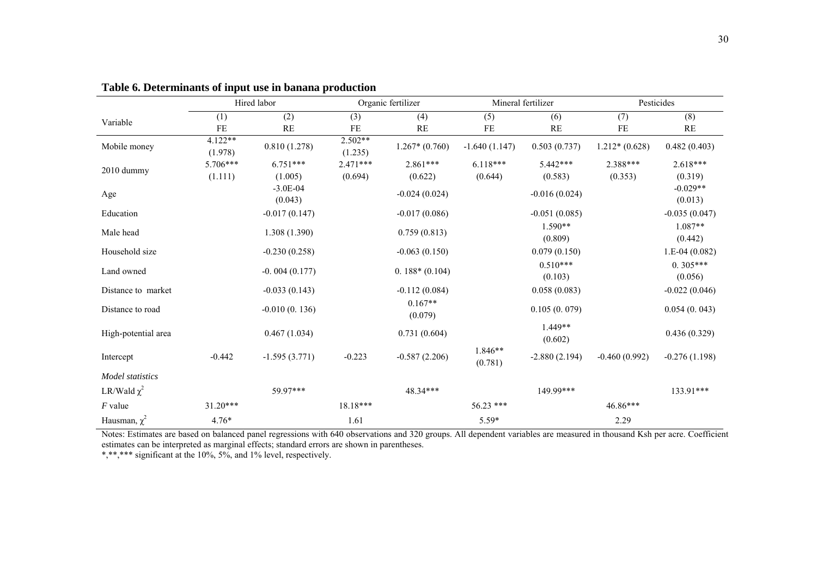|                         |                      | Hired labor             |                      | Organic fertilizer   |                    | Mineral fertilizer    |                 | Pesticides            |
|-------------------------|----------------------|-------------------------|----------------------|----------------------|--------------------|-----------------------|-----------------|-----------------------|
| Variable                | (1)                  | (2)                     | (3)                  | (4)                  | (5)                | (6)                   | (7)             | (8)                   |
|                         | <b>FE</b>            | RE                      | FE                   | RE                   | FE                 | RE                    | FE              | RE                    |
| Mobile money            | $4.122**$<br>(1.978) | 0.810(1.278)            | $2.502**$<br>(1.235) | $1.267*(0.760)$      | $-1.640(1.147)$    | 0.503(0.737)          | $1.212*(0.628)$ | 0.482(0.403)          |
| $2010$ dummy            | 5.706***             | $6.751***$              | $2.471***$           | $2.861***$           | $6.118***$         | 5.442***              | 2.388***        | $2.618***$            |
|                         | (1.111)              | (1.005)                 | (0.694)              | (0.622)              | (0.644)            | (0.583)               | (0.353)         | (0.319)               |
| Age                     |                      | $-3.0E - 04$<br>(0.043) |                      | $-0.024(0.024)$      |                    | $-0.016(0.024)$       |                 | $-0.029**$<br>(0.013) |
| Education               |                      | $-0.017(0.147)$         |                      | $-0.017(0.086)$      |                    | $-0.051(0.085)$       |                 | $-0.035(0.047)$       |
| Male head               |                      | 1.308 (1.390)           |                      | 0.759(0.813)         |                    | $1.590**$<br>(0.809)  |                 | 1.087**<br>(0.442)    |
| Household size          |                      | $-0.230(0.258)$         |                      | $-0.063(0.150)$      |                    | 0.079(0.150)          |                 | $1.E-04(0.082)$       |
| Land owned              |                      | $-0.004(0.177)$         |                      | $0.188*(0.104)$      |                    | $0.510***$<br>(0.103) |                 | $0.305***$<br>(0.056) |
| Distance to market      |                      | $-0.033(0.143)$         |                      | $-0.112(0.084)$      |                    | 0.058(0.083)          |                 | $-0.022(0.046)$       |
| Distance to road        |                      | $-0.010(0.136)$         |                      | $0.167**$<br>(0.079) |                    | 0.105(0.079)          |                 | 0.054(0.043)          |
| High-potential area     |                      | 0.467(1.034)            |                      | 0.731(0.604)         |                    | $1.449**$<br>(0.602)  |                 | 0.436(0.329)          |
| Intercept               | $-0.442$             | $-1.595(3.771)$         | $-0.223$             | $-0.587(2.206)$      | 1.846**<br>(0.781) | $-2.880(2.194)$       | $-0.460(0.992)$ | $-0.276(1.198)$       |
| <b>Model</b> statistics |                      |                         |                      |                      |                    |                       |                 |                       |
| LR/Wald $\chi^2$        |                      | 59.97***                |                      | 48.34***             |                    | 149.99***             |                 | 133.91***             |
| $F$ value               | $31.20***$           |                         | $18.18***$           |                      | 56.23 ***          |                       | 46.86***        |                       |
| Hausman, $\chi^2$       | $4.76*$              |                         | 1.61                 |                      | 5.59*              |                       | 2.29            |                       |

#### **Table 6. Determinants of input use in banana production**

Notes: Estimates are based on balanced panel regressions with 640 observations and 320 groups. All dependent variables are measured in thousand Ksh per acre. Coefficient estimates can be interpreted as marginal effects; standard errors are shown in parentheses.

\*,\*\*,\*\*\* significant at the 10%, 5%, and 1% level, respectively.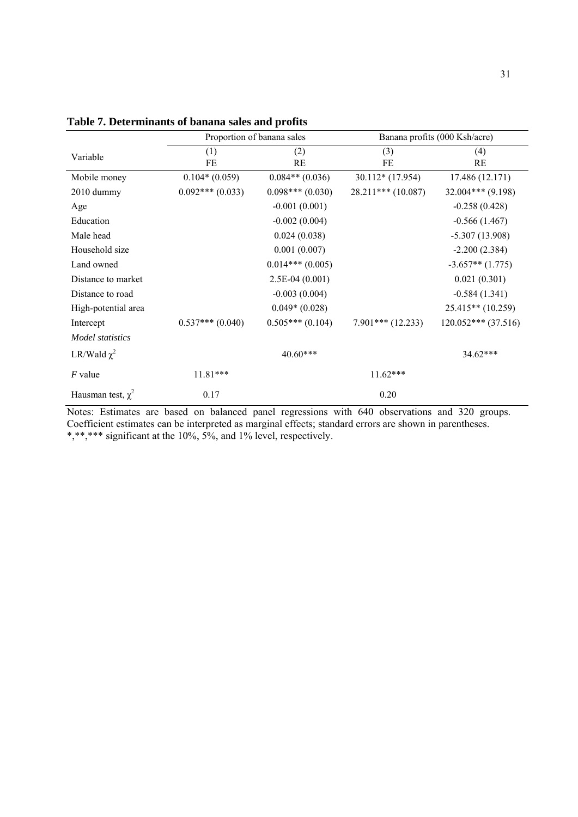|                        |                   | Proportion of banana sales |                      | Banana profits (000 Ksh/acre) |  |  |
|------------------------|-------------------|----------------------------|----------------------|-------------------------------|--|--|
| Variable               | (1)               | (2)                        | (3)                  | (4)                           |  |  |
|                        | FE                | <b>RE</b>                  | FE                   | <b>RE</b>                     |  |  |
| Mobile money           | $0.104*(0.059)$   | $0.084**$ (0.036)          | 30.112* (17.954)     | 17.486 (12.171)               |  |  |
| 2010 dummy             | $0.092***(0.033)$ | $0.098***(0.030)$          | $28.211***$ (10.087) | $32.004***$ (9.198)           |  |  |
| Age                    |                   | $-0.001(0.001)$            |                      | $-0.258(0.428)$               |  |  |
| Education              |                   | $-0.002(0.004)$            |                      | $-0.566(1.467)$               |  |  |
| Male head              |                   | 0.024(0.038)               |                      | $-5.307(13.908)$              |  |  |
| Household size         |                   | 0.001(0.007)               |                      | $-2.200(2.384)$               |  |  |
| Land owned             |                   | $0.014***(0.005)$          |                      | $-3.657**$ (1.775)            |  |  |
| Distance to market     |                   | $2.5E-04(0.001)$           |                      | 0.021(0.301)                  |  |  |
| Distance to road       |                   | $-0.003(0.004)$            |                      | $-0.584(1.341)$               |  |  |
| High-potential area    |                   | $0.049*(0.028)$            |                      | 25.415** (10.259)             |  |  |
| Intercept              | $0.537***(0.040)$ | $0.505***(0.104)$          | $7.901***$ (12.233)  | $120.052***$ (37.516)         |  |  |
| Model statistics       |                   |                            |                      |                               |  |  |
| LR/Wald $\chi^2$       |                   | 40.60***                   |                      | $34.62***$                    |  |  |
| $F$ value              | $11.81***$        |                            | $11.62***$           |                               |  |  |
| Hausman test, $\chi^2$ | 0.17              |                            | 0.20                 |                               |  |  |

**Table 7. Determinants of banana sales and profits**

Notes: Estimates are based on balanced panel regressions with 640 observations and 320 groups. Coefficient estimates can be interpreted as marginal effects; standard errors are shown in parentheses. \*,\*\*,\*\*\* significant at the 10%, 5%, and 1% level, respectively.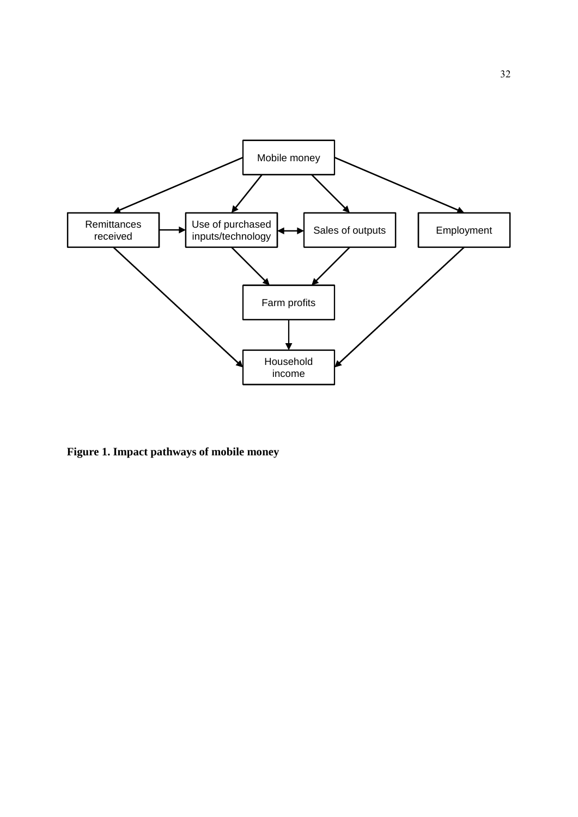

**Figure 1. Impact pathways of mobile money**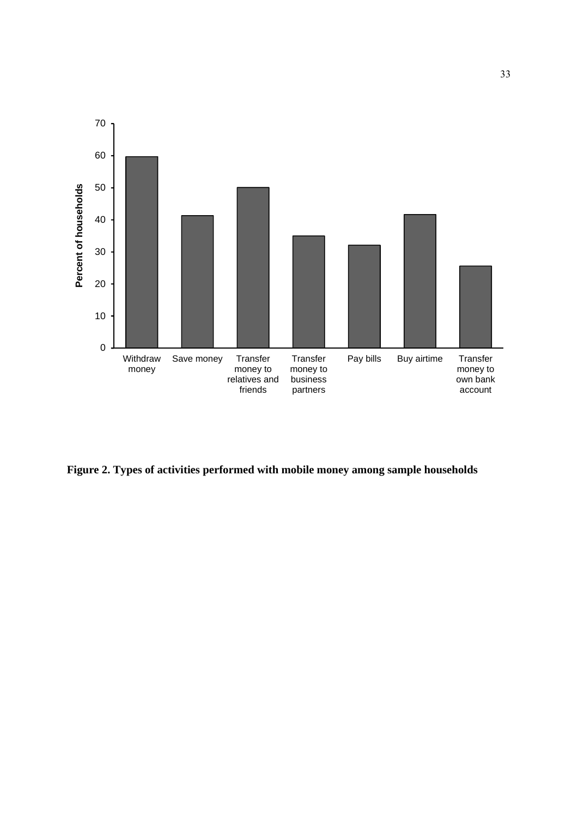

**Figure 2. Types of activities performed with mobile money among sample households**